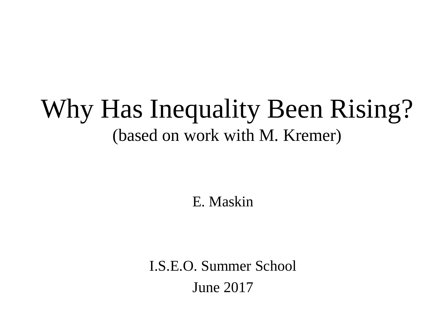## Why Has Inequality Been Rising? (based on work with M. Kremer)

E. Maskin

I.S.E.O. Summer School June 2017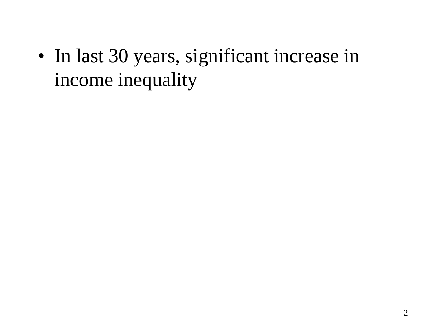• In last 30 years, significant increase in income inequality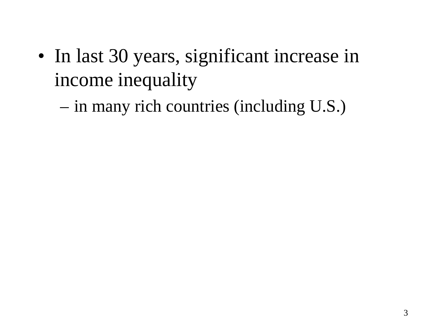• In last 30 years, significant increase in income inequality

– in many rich countries (including U.S.)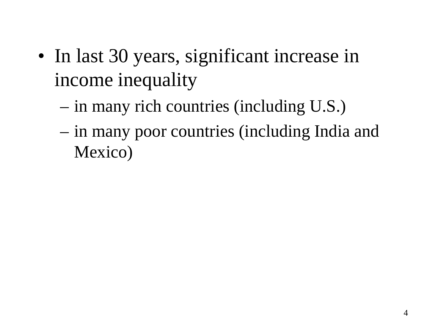- In last 30 years, significant increase in income inequality
	- in many rich countries (including U.S.)
	- in many poor countries (including India and Mexico)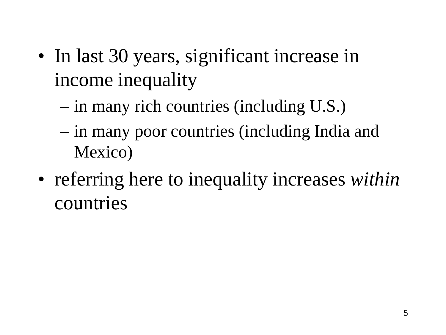- In last 30 years, significant increase in income inequality
	- in many rich countries (including U.S.)
	- in many poor countries (including India and Mexico)
- referring here to inequality increases *within* countries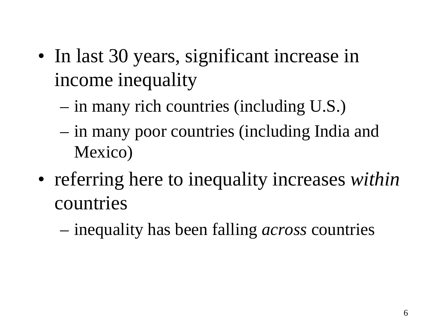- In last 30 years, significant increase in income inequality
	- in many rich countries (including U.S.)
	- in many poor countries (including India and Mexico)
- referring here to inequality increases *within* countries
	- inequality has been falling *across* countries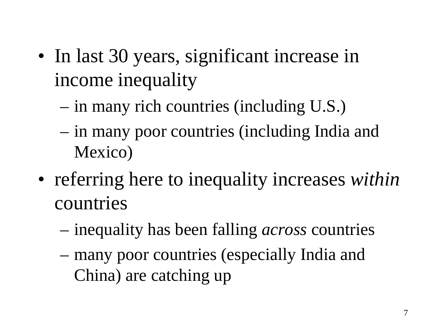- In last 30 years, significant increase in income inequality
	- in many rich countries (including U.S.)
	- in many poor countries (including India and Mexico)
- referring here to inequality increases *within* countries
	- inequality has been falling *across* countries
	- many poor countries (especially India and China) are catching up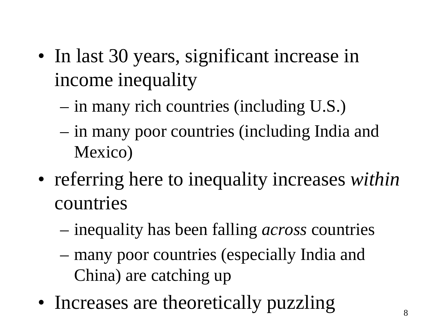- In last 30 years, significant increase in income inequality
	- in many rich countries (including U.S.)
	- in many poor countries (including India and Mexico)
- referring here to inequality increases *within* countries
	- inequality has been falling *across* countries
	- many poor countries (especially India and China) are catching up
- Increases are theoretically puzzling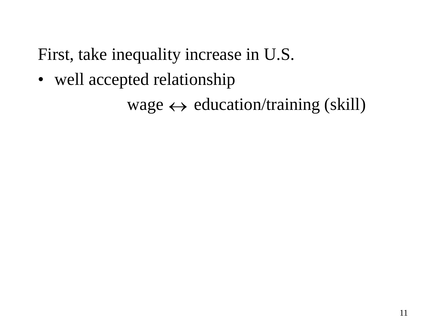• well accepted relationship

wage  $\leftrightarrow$  education/training (skill)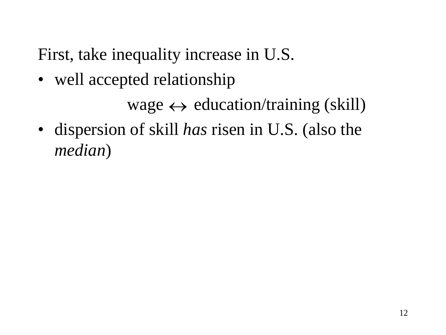• well accepted relationship

wage  $\leftrightarrow$  education/training (skill)

• dispersion of skill *has* risen in U.S. (also the *median*)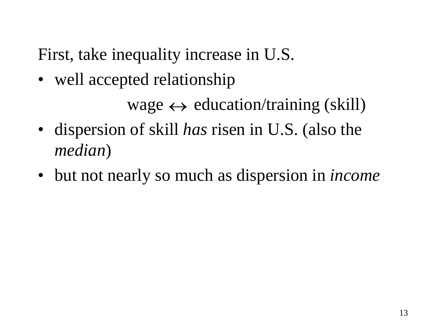```
wage \leftrightarrow education/training (skill)
```
- dispersion of skill *has* risen in U.S. (also the *median*)
- but not nearly so much as dispersion in *income*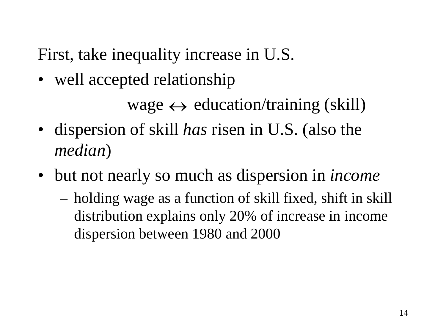```
wage \leftrightarrow education/training (skill)
```
- dispersion of skill *has* risen in U.S. (also the *median*)
- but not nearly so much as dispersion in *income*
	- holding wage as a function of skill fixed, shift in skill distribution explains only 20% of increase in income dispersion between 1980 and 2000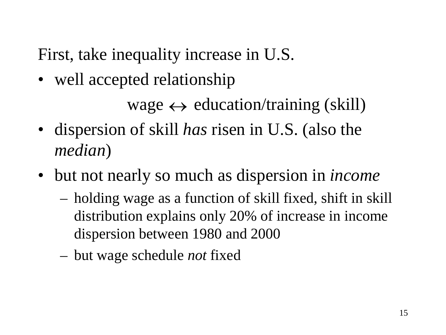```
wage \leftrightarrow education/training (skill)
```
- dispersion of skill *has* risen in U.S. (also the *median*)
- but not nearly so much as dispersion in *income*
	- holding wage as a function of skill fixed, shift in skill distribution explains only 20% of increase in income dispersion between 1980 and 2000
	- but wage schedule *not* fixed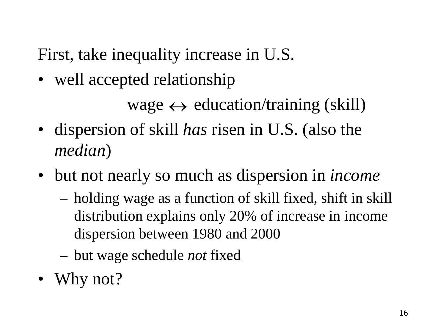```
wage \leftrightarrow education/training (skill)
```
- dispersion of skill *has* risen in U.S. (also the *median*)
- but not nearly so much as dispersion in *income*
	- holding wage as a function of skill fixed, shift in skill distribution explains only 20% of increase in income dispersion between 1980 and 2000
	- but wage schedule *not* fixed
- Why not?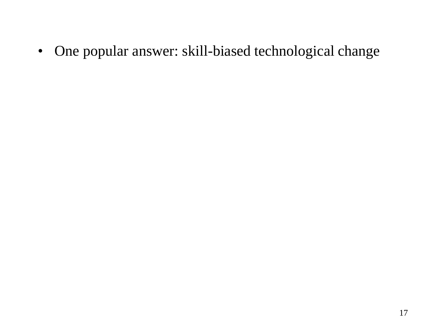• One popular answer: skill-biased technological change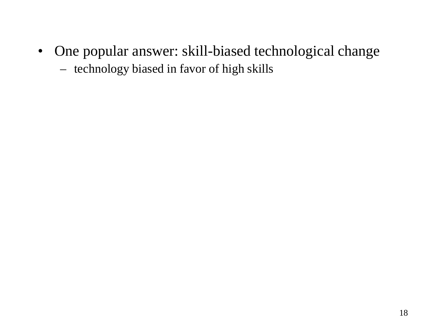• One popular answer: skill-biased technological change – technology biased in favor of high skills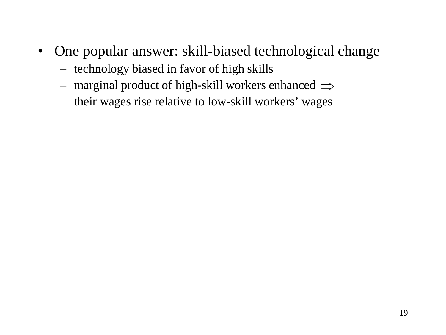- One popular answer: skill-biased technological change
	- technology biased in favor of high skills
	- $-$  marginal product of high-skill workers enhanced  $\Rightarrow$ their wages rise relative to low-skill workers' wages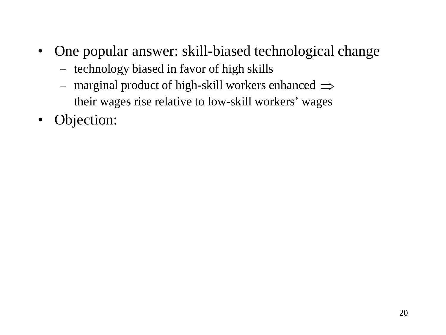- One popular answer: skill-biased technological change
	- technology biased in favor of high skills
	- $-$  marginal product of high-skill workers enhanced  $\Rightarrow$ their wages rise relative to low-skill workers' wages
- Objection: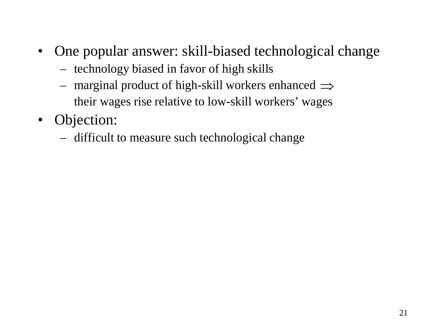- One popular answer: skill-biased technological change
	- technology biased in favor of high skills
	- $-$  marginal product of high-skill workers enhanced  $\Rightarrow$ their wages rise relative to low-skill workers' wages
- Objection:
	- difficult to measure such technological change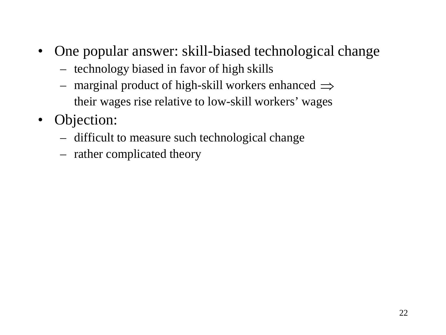- One popular answer: skill-biased technological change
	- technology biased in favor of high skills
	- $-$  marginal product of high-skill workers enhanced  $\Rightarrow$ their wages rise relative to low-skill workers' wages
- Objection:
	- difficult to measure such technological change
	- rather complicated theory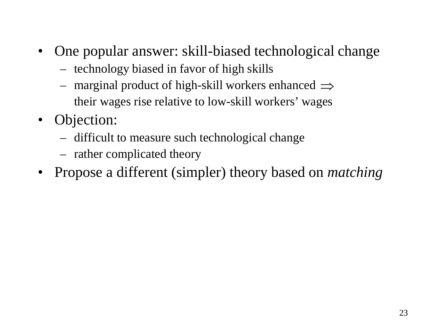- One popular answer: skill-biased technological change
	- technology biased in favor of high skills
	- $-$  marginal product of high-skill workers enhanced  $\Rightarrow$ their wages rise relative to low-skill workers' wages
- Objection:
	- difficult to measure such technological change
	- rather complicated theory
- Propose a different (simpler) theory based on *matching*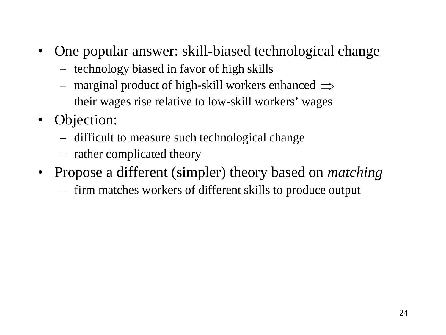- One popular answer: skill-biased technological change
	- technology biased in favor of high skills
	- $-$  marginal product of high-skill workers enhanced  $\Rightarrow$ their wages rise relative to low-skill workers' wages
- Objection:
	- difficult to measure such technological change
	- rather complicated theory
- Propose a different (simpler) theory based on *matching*
	- firm matches workers of different skills to produce output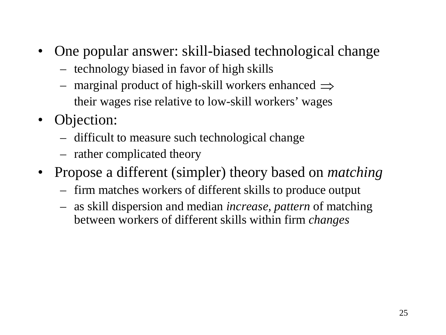- One popular answer: skill-biased technological change
	- technology biased in favor of high skills
	- $-$  marginal product of high-skill workers enhanced  $\Rightarrow$ their wages rise relative to low-skill workers' wages
- Objection:
	- difficult to measure such technological change
	- rather complicated theory
- Propose a different (simpler) theory based on *matching*
	- firm matches workers of different skills to produce output
	- as skill dispersion and median *increase, pattern* of matching between workers of different skills within firm *changes*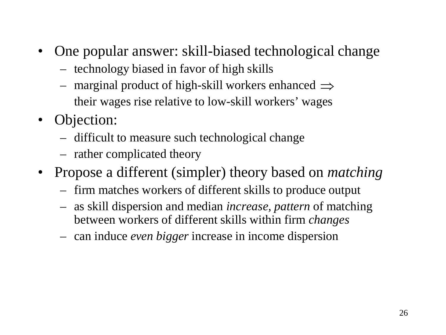- One popular answer: skill-biased technological change
	- technology biased in favor of high skills
	- $-$  marginal product of high-skill workers enhanced  $\Rightarrow$ their wages rise relative to low-skill workers' wages
- Objection:
	- difficult to measure such technological change
	- rather complicated theory
- Propose a different (simpler) theory based on *matching*
	- firm matches workers of different skills to produce output
	- as skill dispersion and median *increase, pattern* of matching between workers of different skills within firm *changes*
	- can induce *even bigger* increase in income dispersion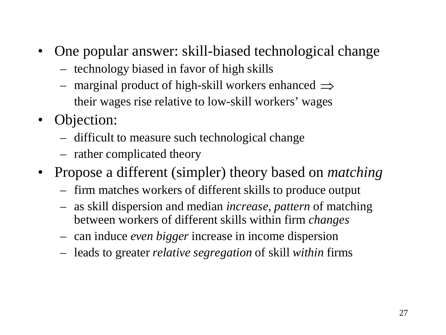- One popular answer: skill-biased technological change
	- technology biased in favor of high skills
	- $-$  marginal product of high-skill workers enhanced  $\Rightarrow$ their wages rise relative to low-skill workers' wages
- Objection:
	- difficult to measure such technological change
	- rather complicated theory
- Propose a different (simpler) theory based on *matching*
	- firm matches workers of different skills to produce output
	- as skill dispersion and median *increase, pattern* of matching between workers of different skills within firm *changes*
	- can induce *even bigger* increase in income dispersion
	- leads to greater *relative segregation* of skill *within* firms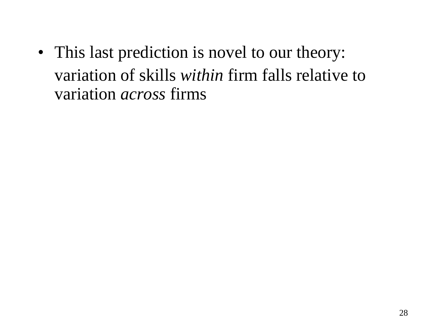• This last prediction is novel to our theory: variation of skills *within* firm falls relative to variation *across* firms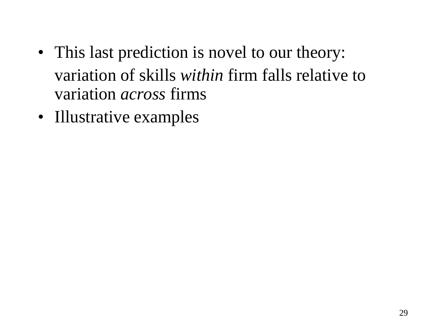- This last prediction is novel to our theory: variation of skills *within* firm falls relative to variation *across* firms
- Illustrative examples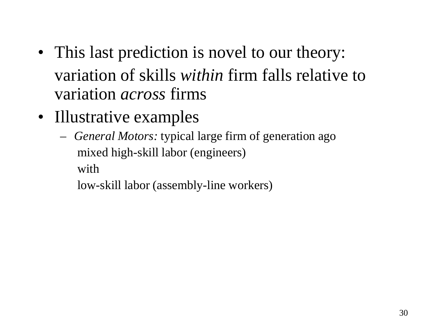- This last prediction is novel to our theory: variation of skills *within* firm falls relative to variation *across* firms
- Illustrative examples
	- *General Motors:* typical large firm of generation ago mixed high-skill labor (engineers) with

low-skill labor (assembly-line workers)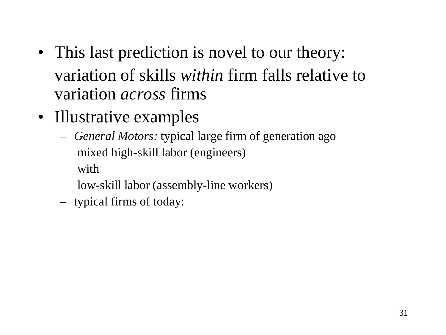- This last prediction is novel to our theory: variation of skills *within* firm falls relative to variation *across* firms
- Illustrative examples
	- *General Motors:* typical large firm of generation ago mixed high-skill labor (engineers) with
		- low-skill labor (assembly-line workers)
	- typical firms of today: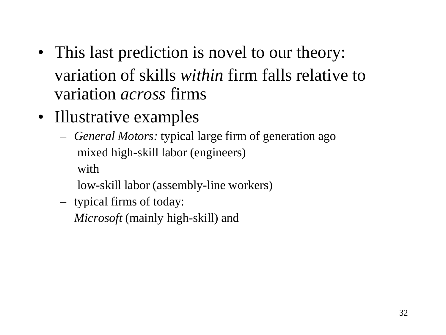- This last prediction is novel to our theory: variation of skills *within* firm falls relative to variation *across* firms
- Illustrative examples
	- *General Motors:* typical large firm of generation ago mixed high-skill labor (engineers) with
		- low-skill labor (assembly-line workers)
	- typical firms of today:

*Microsoft* (mainly high-skill) and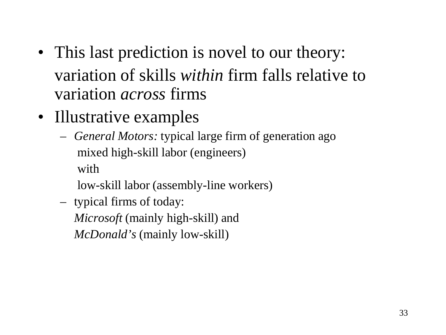- This last prediction is novel to our theory: variation of skills *within* firm falls relative to variation *across* firms
- Illustrative examples
	- *General Motors:* typical large firm of generation ago mixed high-skill labor (engineers) with
		- low-skill labor (assembly-line workers)
	- typical firms of today: *Microsoft* (mainly high-skill) and *McDonald's* (mainly low-skill)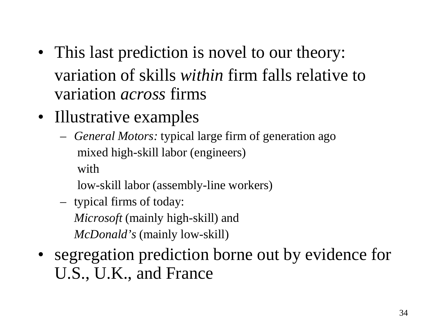- This last prediction is novel to our theory: variation of skills *within* firm falls relative to variation *across* firms
- Illustrative examples
	- *General Motors:* typical large firm of generation ago mixed high-skill labor (engineers) with
		- low-skill labor (assembly-line workers)
	- typical firms of today: *Microsoft* (mainly high-skill) and *McDonald's* (mainly low-skill)
- segregation prediction borne out by evidence for U.S., U.K., and France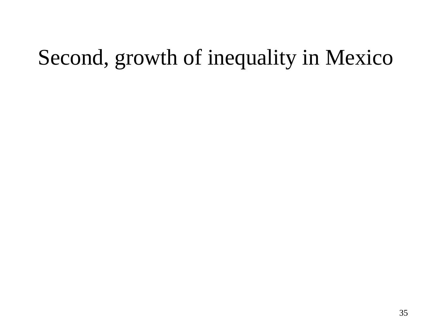## Second, growth of inequality in Mexico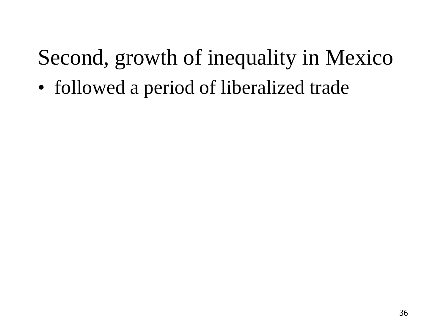## Second, growth of inequality in Mexico

• followed a period of liberalized trade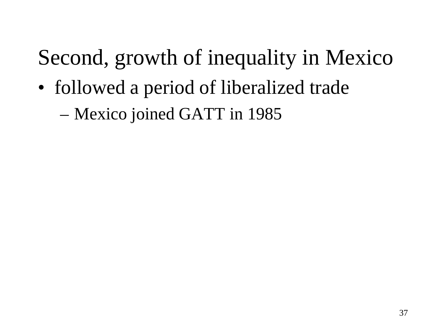• followed a period of liberalized trade

– Mexico joined GATT in 1985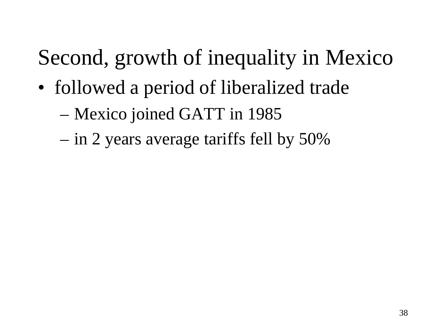- followed a period of liberalized trade
	- Mexico joined GATT in 1985
	- in 2 years average tariffs fell by 50%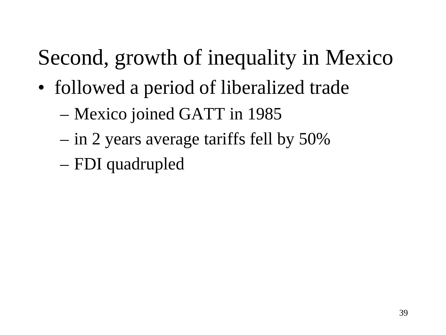- followed a period of liberalized trade
	- Mexico joined GATT in 1985
	- in 2 years average tariffs fell by 50%
	- FDI quadrupled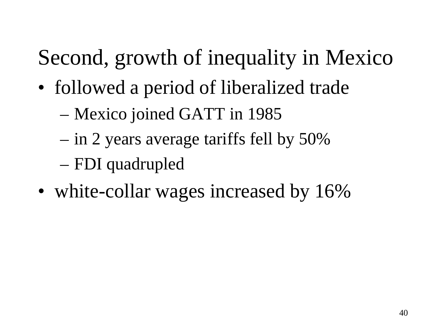- followed a period of liberalized trade
	- Mexico joined GATT in 1985
	- in 2 years average tariffs fell by 50%
	- FDI quadrupled
- white-collar wages increased by 16%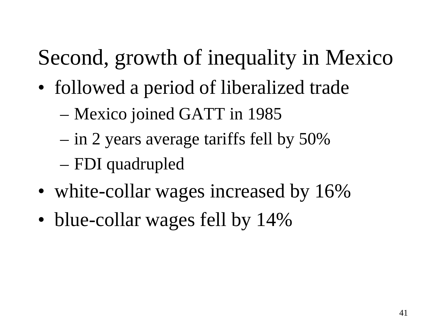- followed a period of liberalized trade
	- Mexico joined GATT in 1985
	- in 2 years average tariffs fell by 50%
	- FDI quadrupled
- white-collar wages increased by 16%
- blue-collar wages fell by 14%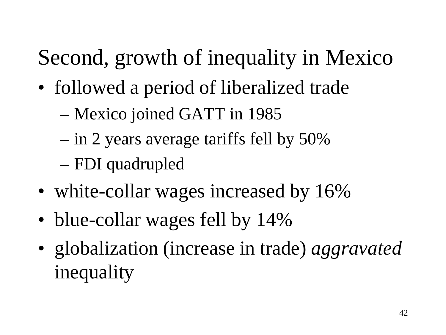- followed a period of liberalized trade
	- Mexico joined GATT in 1985
	- in 2 years average tariffs fell by 50%
	- FDI quadrupled
- white-collar wages increased by 16%
- blue-collar wages fell by 14%
- globalization (increase in trade) *aggravated* inequality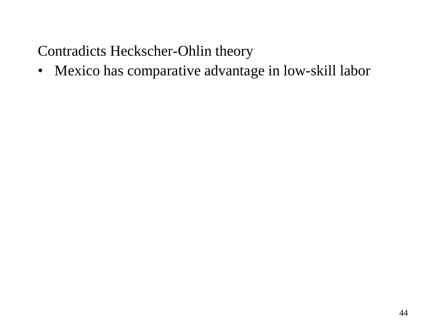• Mexico has comparative advantage in low-skill labor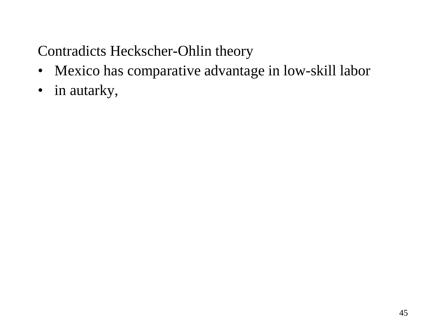- Mexico has comparative advantage in low-skill labor
- in autarky,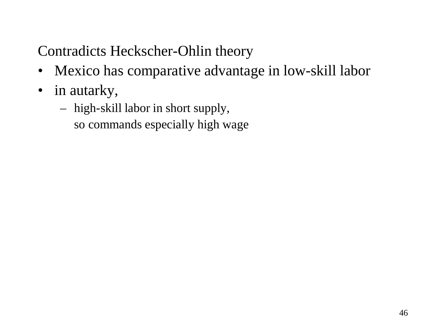- Mexico has comparative advantage in low-skill labor
- in autarky,
	- high-skill labor in short supply, so commands especially high wage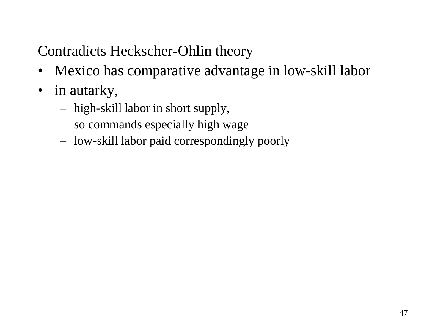- Mexico has comparative advantage in low-skill labor
- in autarky,
	- high-skill labor in short supply, so commands especially high wage
	- low-skill labor paid correspondingly poorly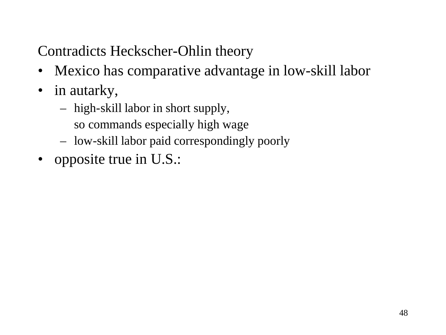- Mexico has comparative advantage in low-skill labor
- in autarky,
	- high-skill labor in short supply,
		- so commands especially high wage
	- low-skill labor paid correspondingly poorly
- opposite true in U.S.: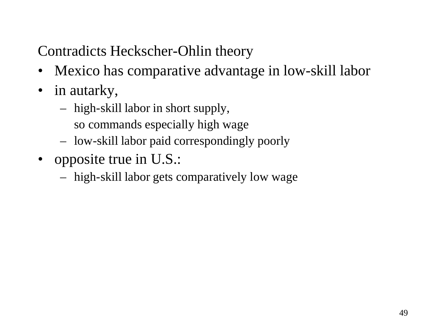- Mexico has comparative advantage in low-skill labor
- in autarky,
	- high-skill labor in short supply,
		- so commands especially high wage
	- low-skill labor paid correspondingly poorly
- opposite true in U.S.:
	- high-skill labor gets comparatively low wage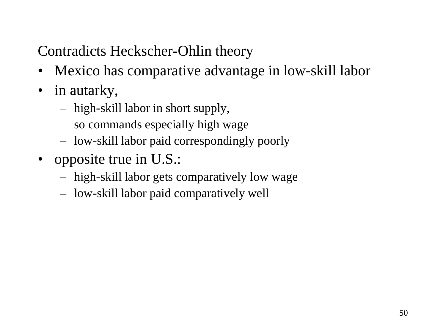- Mexico has comparative advantage in low-skill labor
- in autarky,
	- high-skill labor in short supply,
		- so commands especially high wage
	- low-skill labor paid correspondingly poorly
- opposite true in U.S.:
	- high-skill labor gets comparatively low wage
	- low-skill labor paid comparatively well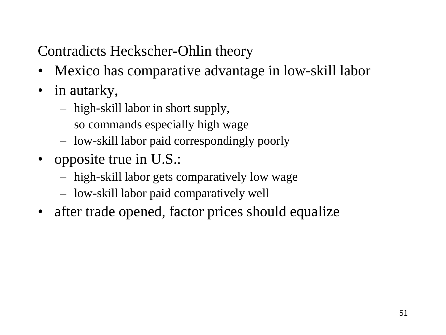- Mexico has comparative advantage in low-skill labor
- in autarky,
	- high-skill labor in short supply,
		- so commands especially high wage
	- low-skill labor paid correspondingly poorly
- opposite true in U.S.:
	- high-skill labor gets comparatively low wage
	- low-skill labor paid comparatively well
- after trade opened, factor prices should equalize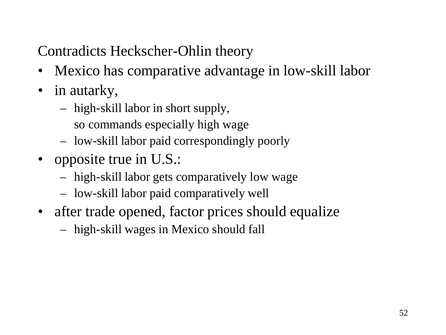- Mexico has comparative advantage in low-skill labor
- in autarky,
	- high-skill labor in short supply,
		- so commands especially high wage
	- low-skill labor paid correspondingly poorly
- opposite true in U.S.:
	- high-skill labor gets comparatively low wage
	- low-skill labor paid comparatively well
- after trade opened, factor prices should equalize
	- high-skill wages in Mexico should fall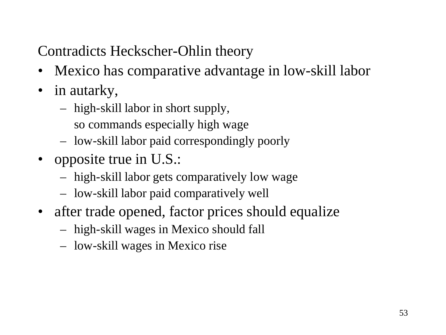- Mexico has comparative advantage in low-skill labor
- in autarky,
	- high-skill labor in short supply,
		- so commands especially high wage
	- low-skill labor paid correspondingly poorly
- opposite true in U.S.:
	- high-skill labor gets comparatively low wage
	- low-skill labor paid comparatively well
- after trade opened, factor prices should equalize
	- high-skill wages in Mexico should fall
	- low-skill wages in Mexico rise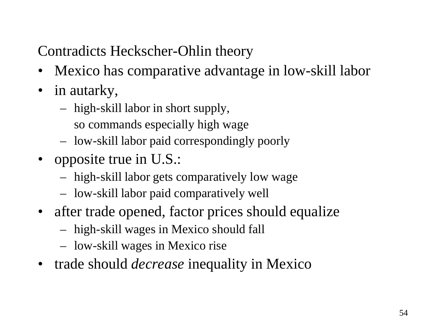- Mexico has comparative advantage in low-skill labor
- in autarky,
	- high-skill labor in short supply,
		- so commands especially high wage
	- low-skill labor paid correspondingly poorly
- opposite true in U.S.:
	- high-skill labor gets comparatively low wage
	- low-skill labor paid comparatively well
- after trade opened, factor prices should equalize
	- high-skill wages in Mexico should fall
	- low-skill wages in Mexico rise
- trade should *decrease* inequality in Mexico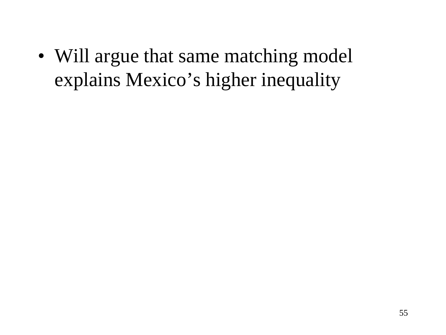• Will argue that same matching model explains Mexico's higher inequality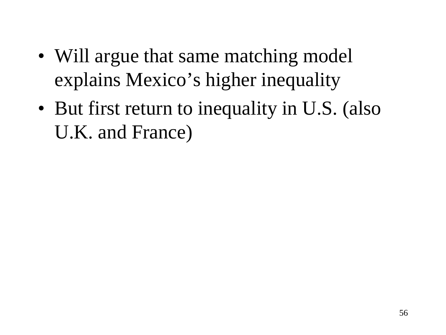- Will argue that same matching model explains Mexico's higher inequality
- But first return to inequality in U.S. (also U.K. and France)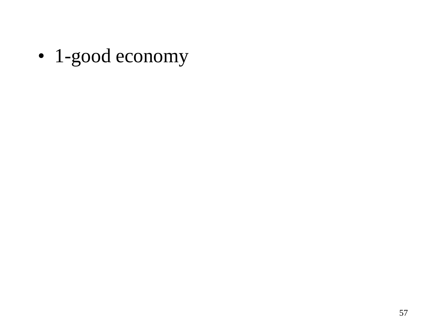• 1-good economy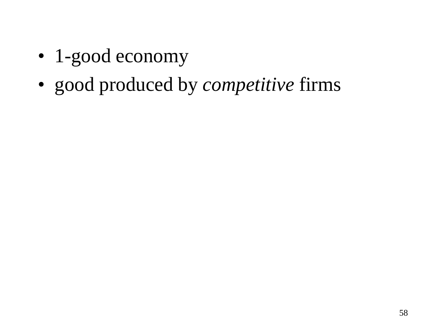- 1-good economy
- good produced by *competitive* firms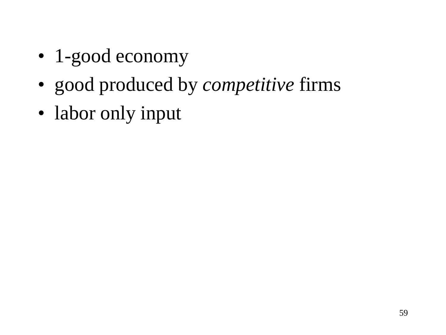- 1-good economy
- good produced by *competitive* firms
- labor only input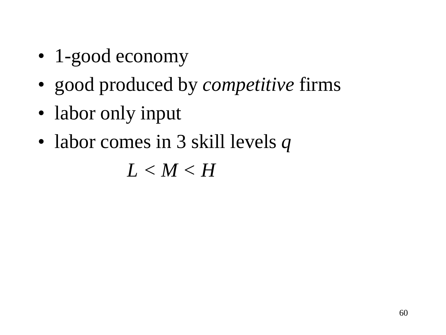- 1-good economy
- good produced by *competitive* firms
- labor only input
- labor comes in 3 skill levels *q*

*L < M < H*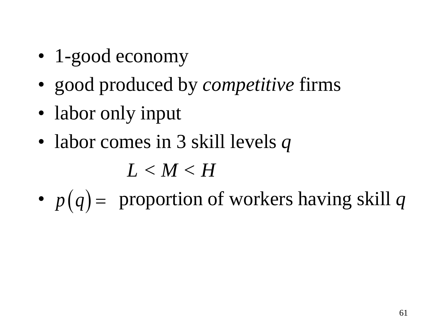- 1-good economy
- good produced by *competitive* firms
- labor only input
- labor comes in 3 skill levels *q*

*L < M < H*

•  $p(q)$  = proportion of workers having skill q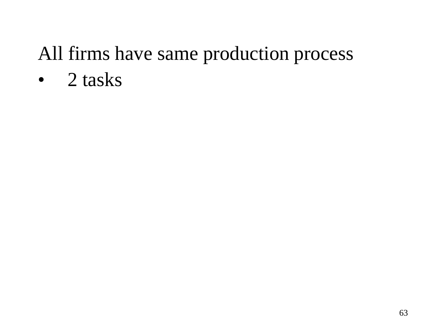• 2 tasks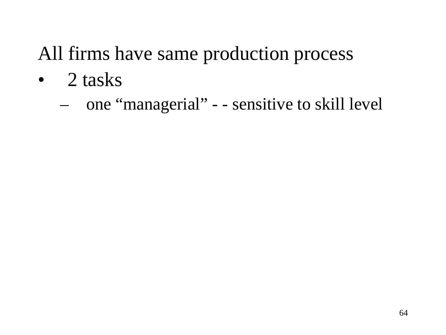- 2 tasks
	- one "managerial" - sensitive to skill level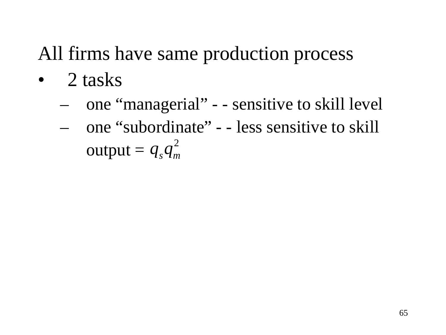- 2 tasks
	- one "managerial" - sensitive to skill level
	- one "subordinate" - less sensitive to skill output =  $q_s q_m^2$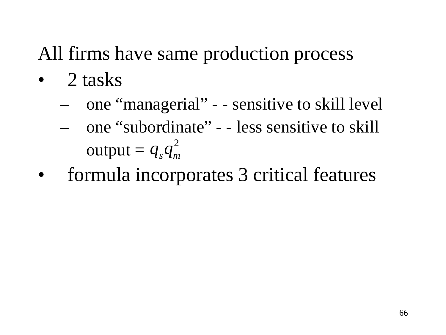- 2 tasks
	- one "managerial" - sensitive to skill level
	- one "subordinate" - less sensitive to skill output =  $q_s q_m^2$
- formula incorporates 3 critical features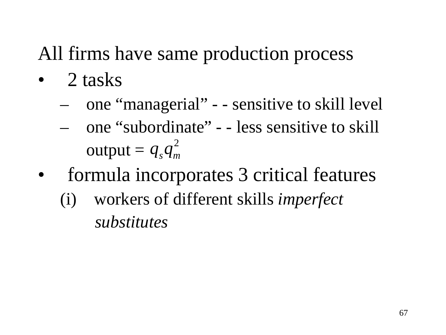- 2 tasks
	- one "managerial" - sensitive to skill level
	- one "subordinate" - less sensitive to skill output =  $q_s q_m^2$
- formula incorporates 3 critical features
	- (i) workers of different skills *imperfect substitutes*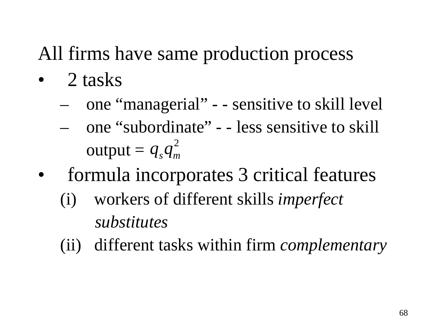- 2 tasks
	- one "managerial" - sensitive to skill level
	- one "subordinate" - less sensitive to skill output =  $q_s q_m^2$
- formula incorporates 3 critical features
	- (i) workers of different skills *imperfect substitutes*
	- (ii) different tasks within firm *complementary*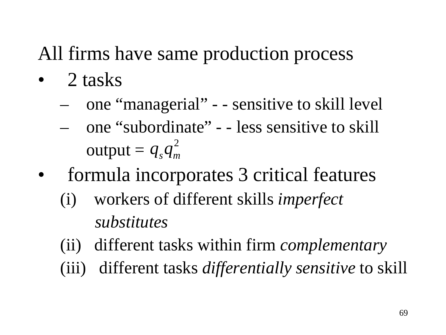- 2 tasks
	- one "managerial" - sensitive to skill level
	- one "subordinate" - less sensitive to skill output =  $q_s q_m^2$
- formula incorporates 3 critical features
	- (i) workers of different skills *imperfect substitutes*
	- (ii) different tasks within firm *complementary*
	- (iii) different tasks *differentially sensitive* to skill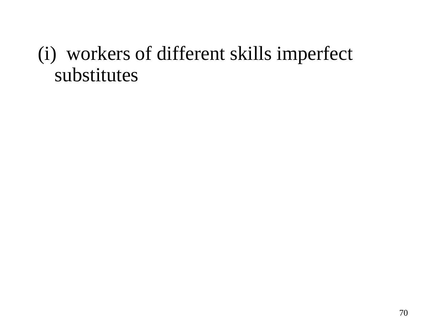### (i) workers of different skills imperfect substitutes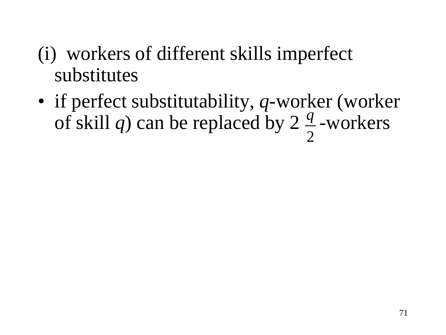- (i) workers of different skills imperfect substitutes
- if perfect substitutability, *q*-worker (worker of skill *q*) can be replaced by 2  $\frac{q}{2}$ -workers 2 *q*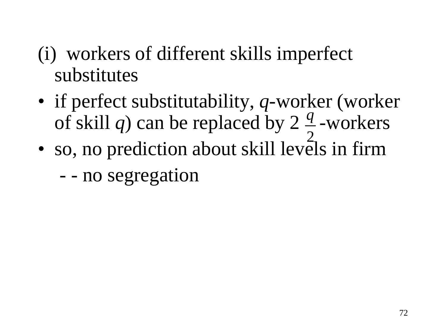- (i) workers of different skills imperfect substitutes
- if perfect substitutability, *q*-worker (worker of skill *q*) can be replaced by 2  $\frac{q}{2}$ -workers *q*
- so, no prediction about skill levels in firm 2
	- - no segregation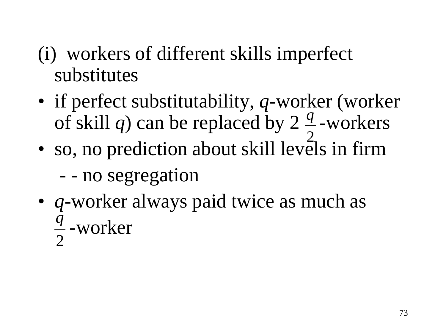- (i) workers of different skills imperfect substitutes
- if perfect substitutability, *q*-worker (worker of skill *q*) can be replaced by 2  $\frac{q}{2}$ -workers *q*
- so, no prediction about skill levels in firm 2
	- - no segregation
- *q*-worker always paid twice as much as  $\frac{q}{2}$ -worker 2 *q*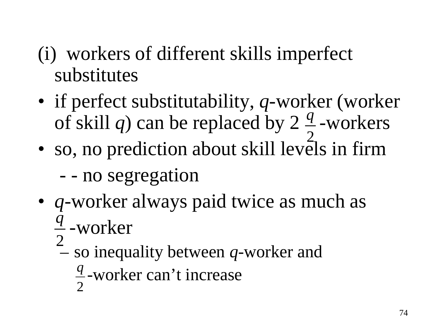- (i) workers of different skills imperfect substitutes
- if perfect substitutability, *q*-worker (worker of skill *q*) can be replaced by 2  $\frac{q}{2}$ -workers *q*
- so, no prediction about skill levels in firm 2

- - no segregation

- *q*-worker always paid twice as much as  $\frac{q}{2}$ -worker *q*
	- so inequality between *q*-worker and 2

 $\frac{q}{2}$ -worker can't increase 2 *q*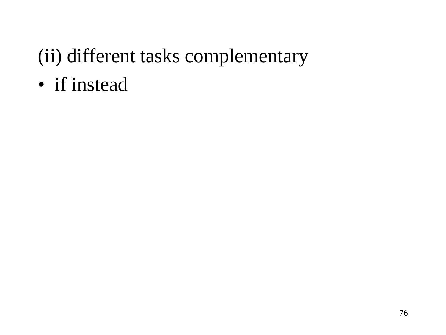• if instead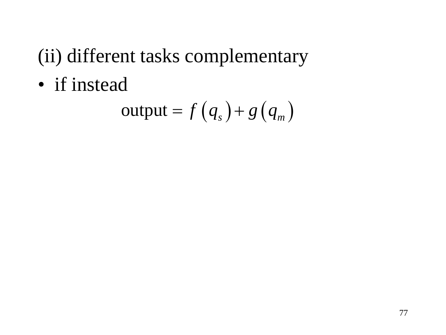• if instead

$$
output = f(q_s) + g(q_m)
$$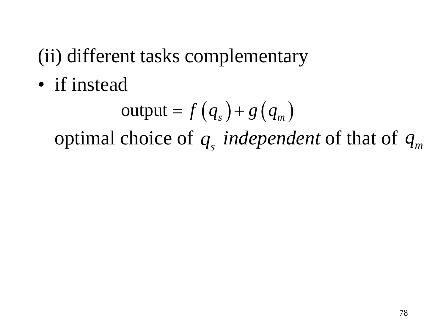• if instead

$$
output = f(q_s) + g(q_m)
$$

optimal choice of  $q_s$  *independent* of that of  $q_m$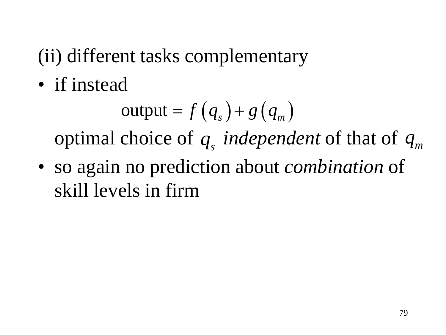• if instead

$$
output = f(q_s) + g(q_m)
$$

optimal choice of  $q_s$  *independent* of that of  $q_m$ 

• so again no prediction about *combination* of skill levels in firm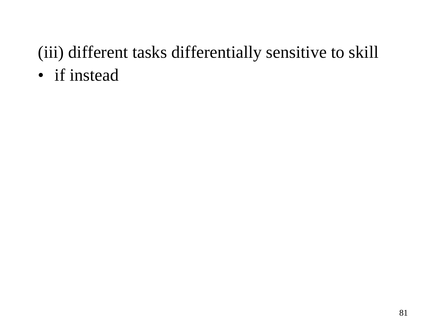• if instead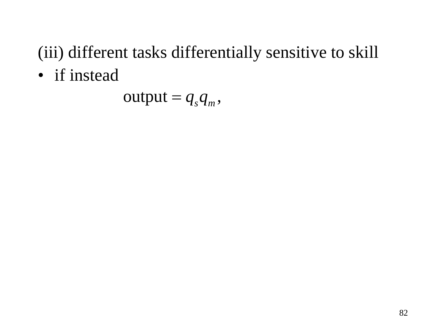• if instead

 $output = q_s q_m$ ,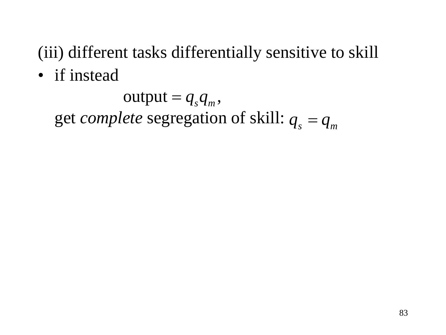• if instead

get *complete* segregation of skill:  $q_s = q_m$  $output = q_s q_m$ ,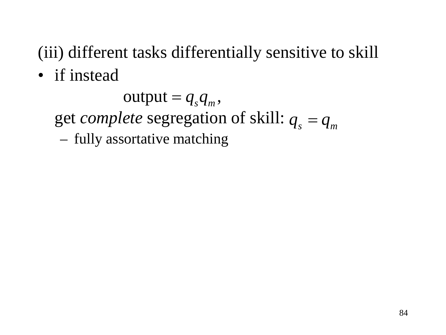• if instead

get *complete* segregation of skill:  $q_s = q_m$ – fully assortative matching  $output = q_s q_m$ ,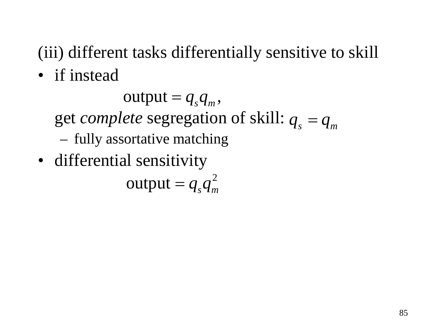• if instead

get *complete* segregation of skill:  $q_s = q_m$ – fully assortative matching  $output = q_s q_m$ ,

• differential sensitivity

 $\text{output} = q_s q_m^2$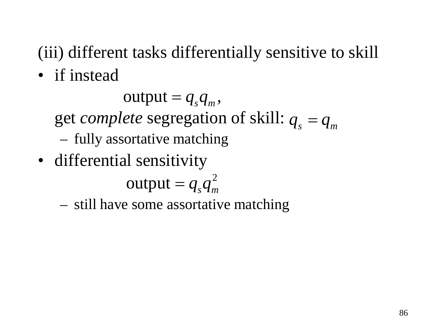• if instead

get *complete* segregation of skill:  $q_s = q_m$ – fully assortative matching  $output = q_s q_m$ ,

• differential sensitivity

 $\text{output} = q_s q_m^2$ 

– still have some assortative matching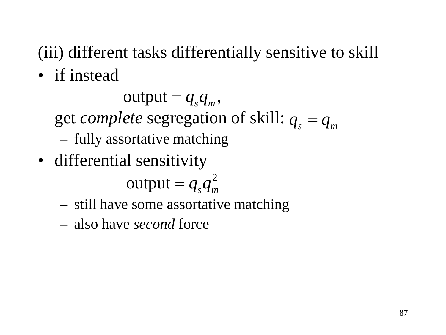• if instead

 $output = q_s q_m$ ,

get *complete* segregation of skill:  $q_s = q_m$ 

- fully assortative matching
- differential sensitivity

 $\text{output} = q_s q_m^2$ 

- still have some assortative matching
- also have *second* force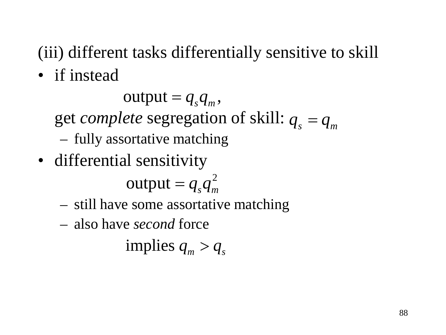• if instead

 $output = q_s q_m$ ,

get *complete* segregation of skill:  $q_s = q_m$ 

- fully assortative matching
- differential sensitivity

 $\text{output} = q_s q_m^2$ 

- still have some assortative matching
- also have *second* force

implies  $q_{\rm m} > q_{\rm s}$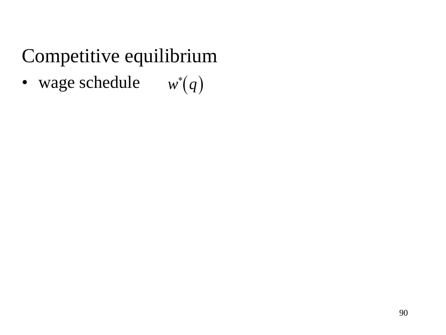• wage schedule  $w^*(q)$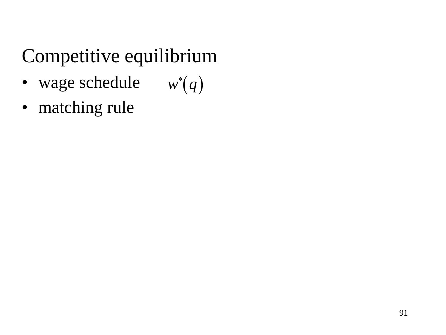- wage schedule  $w^*(q)$
- matching rule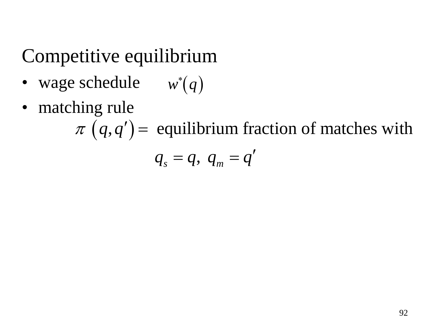- wage schedule  $w^*(q)$
- matching rule

 $\pi$  (q,q') = equilibrium fraction of matches with  $q_s = q, q_m = q'$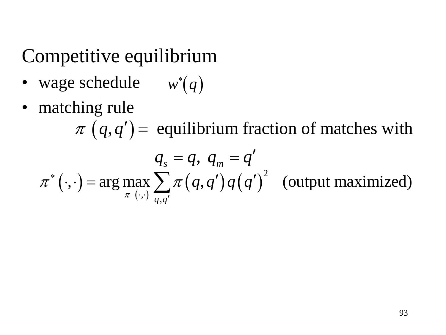- wage schedule  $w^*(q)$
- matching rule

 $(\cdot, \cdot)$  = arg max  $\sum_{\pi} \pi(q, q') q(q')$ 2  $\cdot$ )  $\frac{1}{q}$  $\mathbf{r}(\cdot) = \arg \max_{\mathbf{z}} \sum_{i} \pi(q, q') q(q')^2$  (output maximized) *q q*  $q,q^{\prime})q(q)$ π  $\pi$  ( $\cdot \cdot$ ) = arg max  $\gamma$   $\pi$ ∗  $\cdot$ ,  $\cdot$ )  $\overline{q,q'}$  $\cdot, \cdot$ ) = arg max  $\sum \pi(q, q')q(q')$  $\pi$  (q,q') = equilibrium fraction of matches with  $q_s = q, q_m$  $q_s = q, q_m = q'$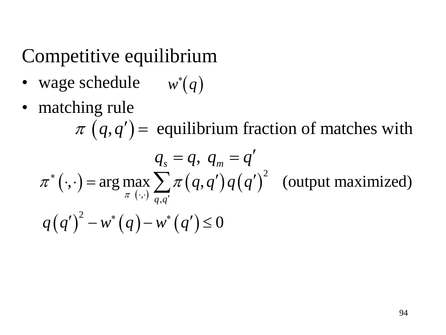- wage schedule  $w^*(q)$
- matching rule

 $(\cdot, \cdot)$  = arg max  $\sum_{\pi} \pi(q, q') q(q')$ 2  $\cdot$ )  $\frac{1}{q}$  $\mathbf{r}(\cdot) = \arg \max_{\mathbf{z}} \sum_{i} \pi(q, q') q(q')^2$  (output maximized) *q q*  $q,q^{\prime})q(q)$ π  $\pi$  ( $\cdot \cdot$ ) = arg max  $\gamma$   $\pi$ ∗  $\cdot$ ,  $\cdot$ )  $\overline{q,q'}$  $\cdot, \cdot$ ) = arg max  $\sum \pi(q, q')q(q')$  $\pi$  (q,q') = equilibrium fraction of matches with  $q_s = q, q_m$  $q_s = q, q_m = q'$  $q(q')^{2} - w^{*}(q) - w^{*}(q') \leq 0$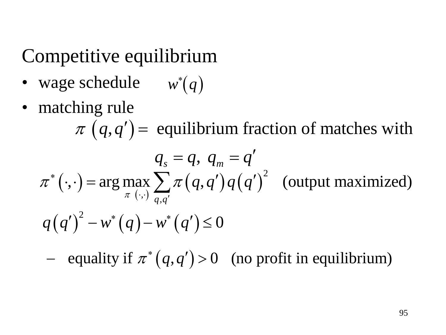- wage schedule  $w^*(q)$
- matching rule

 $(\cdot, \cdot)$  = arg max  $\sum_{\pi} \pi(q, q') q(q')$ 2  $\cdot$ )  $\frac{1}{q}$  $\mathbf{r}(\cdot) = \arg \max_{\mathbf{z}} \sum_{i} \pi(q, q') q(q')^2$  (output maximized) *q q*  $q,q^{\prime})q(q)$ π  $\pi$  ( $\cdot \cdot$ ) = arg max  $\gamma$   $\pi$ ∗  $\cdot$ ,  $\cdot$ )  $\overline{q,q'}$  $\cdot, \cdot$ ) = arg max  $\sum \pi(q, q')q(q')$  $\pi$  (q,q') = equilibrium fraction of matches with  $q_s = q, q_m = q'$  $q(q')^{2} - w^{*}(q) - w^{*}(q') \leq 0$ 

 $-$  equality if  $\pi^*(q, q') > 0$  (no profit in equilibrium)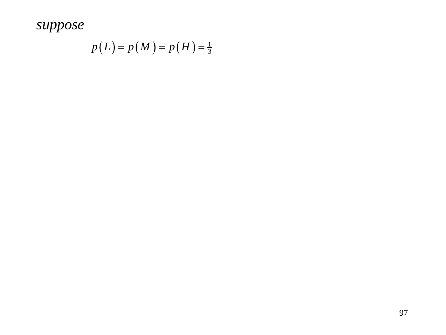$$
p(L) = p(M) = p(H) = \frac{1}{3}
$$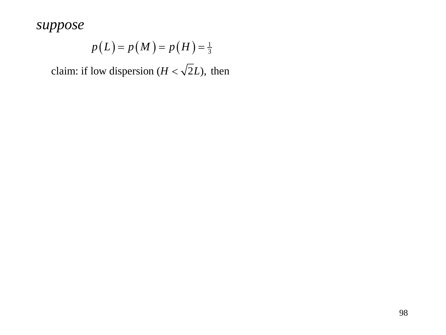$$
p(L) = p(M) = p(H) = \frac{1}{3}
$$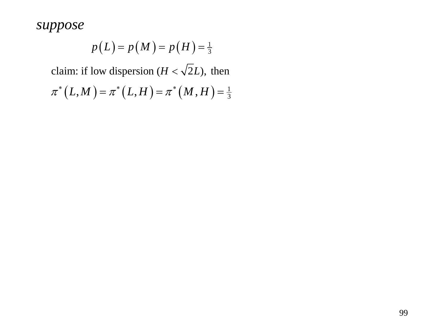$$
p(L) = p(M) = p(H) = \frac{1}{3}
$$

$$
\pi^* (L, M) = \pi^* (L, H) = \pi^* (M, H) = \frac{1}{3}
$$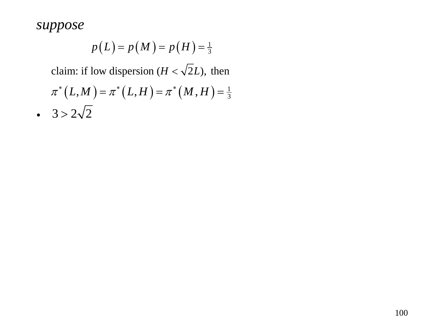$$
p(L) = p(M) = p(H) = \frac{1}{3}
$$

$$
\pi^*(L, M) = \pi^*(L, H) = \pi^*(M, H) = \frac{1}{3}
$$
  
• 3 > 2 $\sqrt{2}$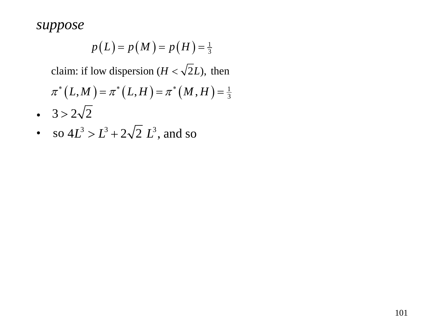$$
p(L) = p(M) = p(H) = \frac{1}{3}
$$

$$
\pi^* (L, M) = \pi^* (L, H) = \pi^* (M, H) = \frac{1}{3}
$$

- $3 > 2\sqrt{2}$
- so  $4L^3 > L^3 + 2\sqrt{2} L^3$ , and so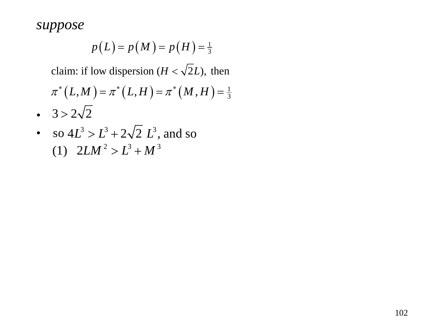$$
p(L) = p(M) = p(H) = \frac{1}{3}
$$

$$
\pi^*(L, M) = \pi^*(L, H) = \pi^*(M, H) = \frac{1}{3}
$$

- $3 > 2\sqrt{2}$
- so  $4L^3 > L^3 + 2\sqrt{2} L^3$ , and so (1)  $2LM^2 > L^3 + M^3$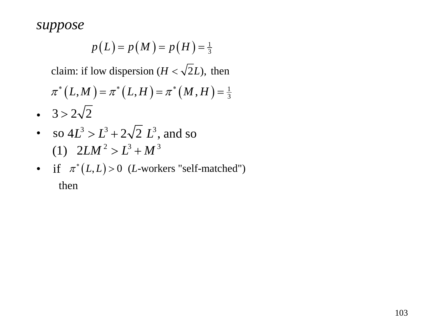$$
p(L) = p(M) = p(H) = \frac{1}{3}
$$

$$
\pi^*(L, M) = \pi^*(L, H) = \pi^*(M, H) = \frac{1}{3}
$$

- $3 > 2\sqrt{2}$
- so  $4L^3 > L^3 + 2\sqrt{2} L^3$ , and so (1)  $2LM^2 > L^3 + M^3$
- if  $\pi^*(L,L) > 0$  (*L*-workers "self-matched") then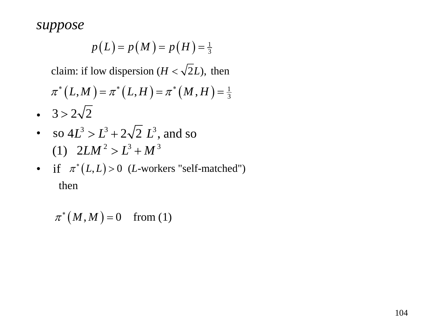$$
p(L) = p(M) = p(H) = \frac{1}{3}
$$

claim: if low dispersion ( $H < \sqrt{2}L$ ), then

$$
\pi^*(L, M) = \pi^*(L, H) = \pi^*(M, H) = \frac{1}{3}
$$

- $3 > 2\sqrt{2}$
- so  $4L^3 > L^3 + 2\sqrt{2} L^3$ , and so (1)  $2LM^2 > L^3 + M^3$
- if  $\pi^*(L,L) > 0$  (*L*-workers "self-matched") then

 $\pi^*(M, M) = 0$  from (1)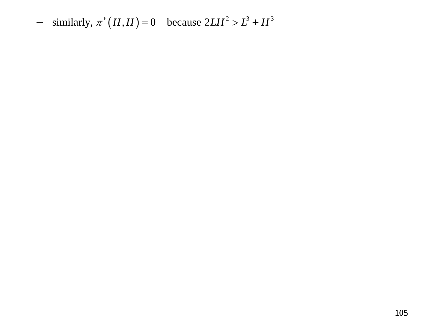$-$  similarly,  $\pi^*(H, H) = 0$  because  $2LH^2 > L^3 + H^3$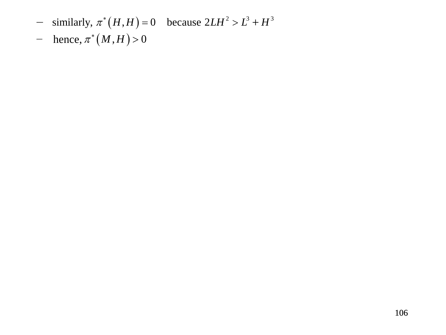- $-$  similarly,  $\pi^*(H, H) = 0$  because  $2LH^2 > L^3 + H^3$
- $-$  hence,  $\pi^*(M, H) > 0$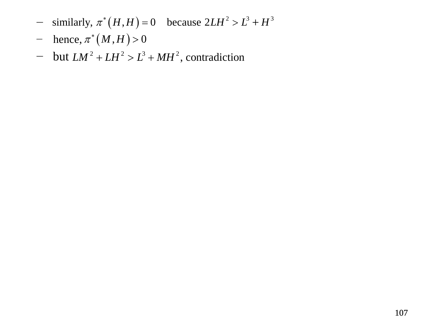- $-$  similarly,  $\pi^*(H, H) = 0$  because  $2LH^2 > L^3 + H^3$
- $-$  hence,  $\pi^*(M, H) > 0$
- $-$  but  $LM^2 + LH^2 > L^3 + MH^2$ , contradiction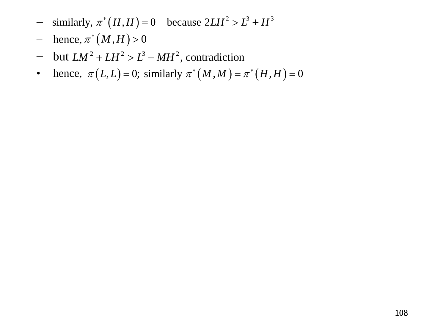- $-$  similarly,  $\pi^*(H, H) = 0$  because  $2LH^2 > L^3 + H^3$
- $-$  hence,  $\pi^*(M, H) > 0$
- $-$  but  $LM^2 + LH^2 > L^3 + MH^2$ , contradiction
- hence,  $\pi(L, L) = 0$ ; similarly  $\pi^*(M, M) = \pi^*(H, H) = 0$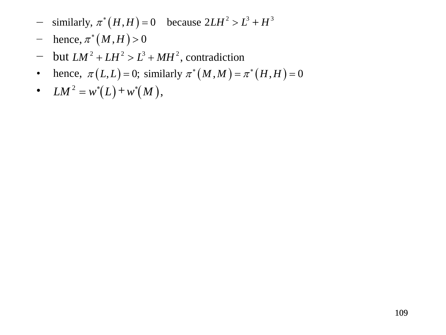- $-$  similarly,  $\pi^*(H, H) = 0$  because  $2LH^2 > L^3 + H^3$
- $-$  hence,  $\pi^*(M, H) > 0$
- $-$  but  $LM^2 + LH^2 > L^3 + MH^2$ , contradiction
- hence,  $\pi(L,L) = 0$ ; similarly  $\pi^*(M,M) = \pi^*(H,H) = 0$
- $LM^2 = w^*(L) + w^*(M)$ ,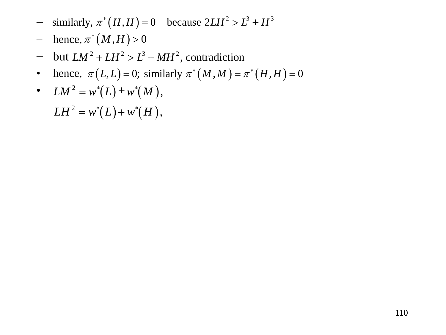- $-$  similarly,  $\pi^*(H, H) = 0$  because  $2LH^2 > L^3 + H^3$
- $-$  hence,  $\pi^*(M, H) > 0$
- $-$  but  $LM^2 + LH^2 > L^3 + MH^2$ , contradiction
- hence,  $\pi(L,L) = 0$ ; similarly  $\pi^*(M,M) = \pi^*(H,H) = 0$
- $LM^2 = w^*(L) + w^*(M)$ ,

 $LH^2 = w^*(L) + w^*(H)$ ,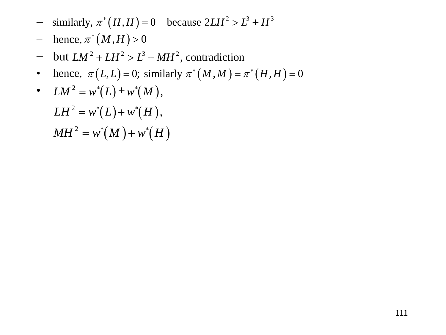- $-$  similarly,  $\pi^*(H, H) = 0$  because  $2LH^2 > L^3 + H^3$
- $-$  hence,  $\pi^*(M, H) > 0$
- $-$  but  $LM^2 + LH^2 > L^3 + MH^2$ , contradiction
- hence,  $\pi(L,L) = 0$ ; similarly  $\pi^*(M,M) = \pi^*(H,H) = 0$
- $LM^2 = w^*(L) + w^*(M)$ ,

$$
LH2 = w*(L) + w*(H),
$$
  

$$
MH2 = w*(M) + w*(H)
$$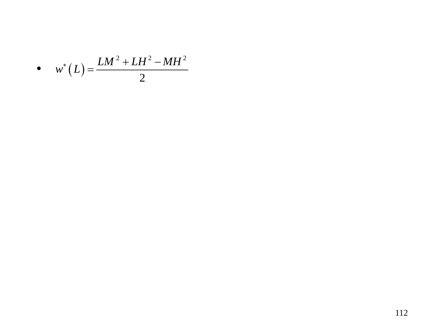$$
\bullet \quad w^*\left(L\right) = \frac{LM^2 + LH^2 - MH^2}{2}
$$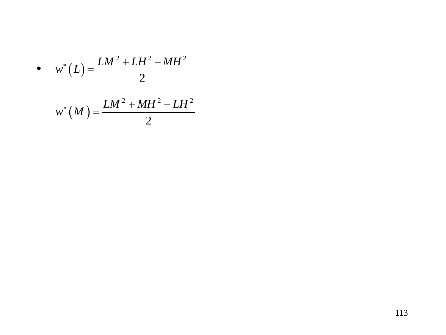$$
\bullet \qquad w^*\left(L\right) = \frac{LM^2 + LH^2 - MH^2}{2}
$$

$$
w^*\left(M\right) = \frac{LM^2 + MH^2 - LH^2}{2}
$$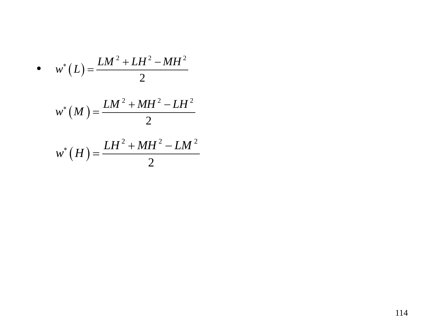• 
$$
w^*(L) = \frac{LM^2 + LH^2 - MH^2}{2}
$$
  

$$
w^*(M) = \frac{LM^2 + MH^2 - LH^2}{2}
$$

$$
w^*(H) = \frac{LH^2 + MH^2 - LM^2}{2}
$$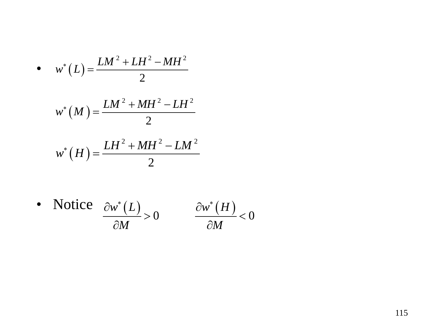• 
$$
w^*(L) = \frac{LM^2 + LH^2 - MH^2}{2}
$$
  

$$
w^*(M) = \frac{LM^2 + MH^2 - LH^2}{2}
$$

$$
w^*(H) = \frac{LH^2 + MH^2 - LM^2}{2}
$$

• Notice  $\frac{\partial w^*(L)}{\partial L} > 0$   $\frac{\partial w^*(H)}{\partial L} < 0$ *M M*  $\partial w^*(L)$   $\partial w^*$  $> 0$   $\frac{6w(11)}{215}$  $\partial M$   $\qquad \partial$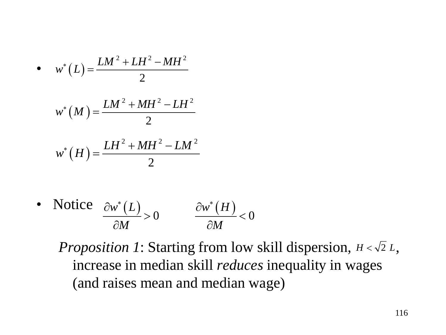• 
$$
w^*(L) = \frac{LM^2 + LH^2 - MH^2}{2}
$$
  

$$
w^*(M) = \frac{LM^2 + MH^2 - LH^2}{2}
$$

$$
w^*(H) = \frac{LH^2 + MH^2 - LM^2}{2}
$$

• Notice  $\frac{\partial w^*(L)}{\partial L} > 0$   $\frac{\partial w^*(H)}{\partial L} < 0$ *M M*  $\partial w^*(L)$   $\partial w^*$  $> 0$   $\frac{6w(11)}{215}$  $\partial M$   $\qquad \partial$ 

*Proposition 1*: Starting from low skill dispersion,  $H < \sqrt{2} L$ , increase in median skill *reduces* inequality in wages (and raises mean and median wage)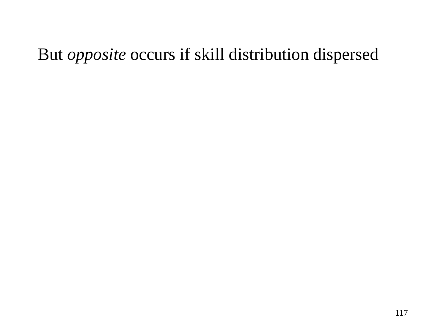## But *opposite* occurs if skill distribution dispersed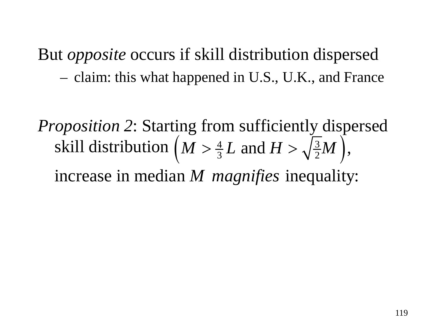*Proposition 2*: Starting from sufficiently dispersed skill distribution  $\left(M > \frac{4}{3}L \text{ and } H > \sqrt{\frac{3}{2}}M\right)$ , increase in median *M* magnifies inequality: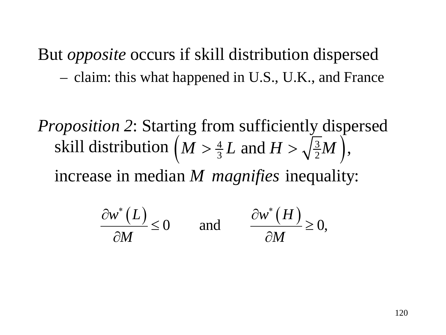*Proposition 2*: Starting from sufficiently dispersed skill distribution  $\left(M > \frac{4}{3}L \text{ and } H > \sqrt{\frac{3}{2}}M\right)$ , increase in median *M* magnifies inequality:

$$
\frac{\partial w^*(L)}{\partial M} \le 0 \quad \text{and} \quad \frac{\partial w^*(H)}{\partial M} \ge 0,
$$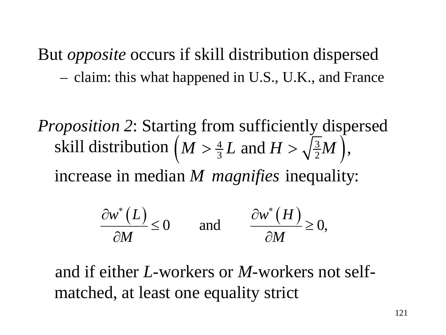*Proposition 2*: Starting from sufficiently dispersed skill distribution  $\left(M > \frac{4}{3}L \text{ and } H > \sqrt{\frac{3}{2}}M\right)$ , increase in median M *magnifies* inequality:

$$
\frac{\partial w^*(L)}{\partial M} \le 0 \quad \text{and} \quad \frac{\partial w^*(H)}{\partial M} \ge 0,
$$

 and if either *L*-workers or *M*-workers not selfmatched, at least one equality strict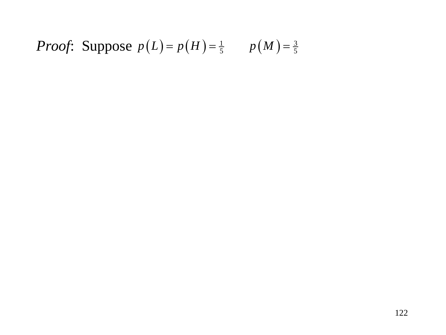*Proof*: Suppose 
$$
p(L) = p(H) = \frac{1}{5}
$$
  $p(M) = \frac{3}{5}$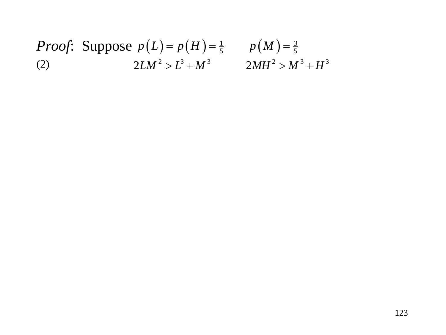#### *Proof*: Suppose  $p(L) = p(H) = \frac{1}{5}$   $p(M) = \frac{3}{5}$ (2)  $2LM^2 > L^3 + M^3$   $2MH^2 > M^3 + H^3$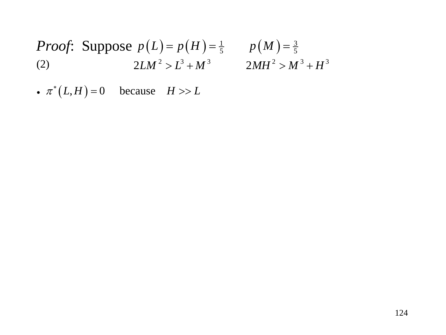*Proof*: Suppose 
$$
p(L) = p(H) = \frac{1}{5}
$$
  $p(M) = \frac{3}{5}$   
(2)  $2LM^2 > L^3 + M^3$   $2MH^2 > M^3 + H^3$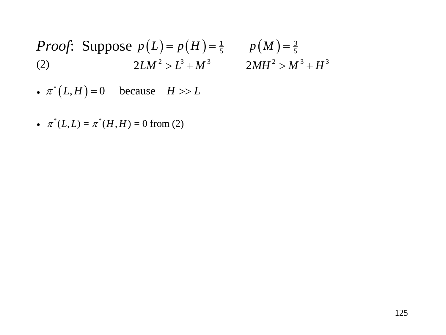*Proof*: Suppose 
$$
p(L) = p(H) = \frac{1}{5}
$$
  $p(M) = \frac{3}{5}$   
(2)  $2LM^2 > L^3 + M^3$   $2MH^2 > M^3 + H^3$ 

- $\pi^*(L, H) = 0$  because  $H \gg L$
- $\pi^*(L, L) = \pi^*(H, H) = 0$  from (2)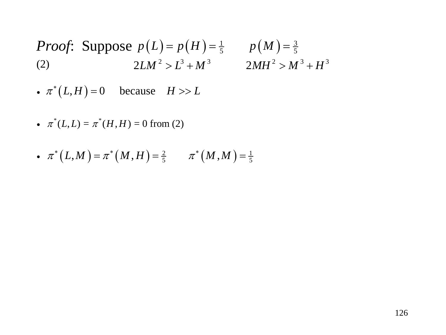*Proof*: Suppose 
$$
p(L) = p(H) = \frac{1}{5}
$$
  $p(M) = \frac{3}{5}$   
(2)  $2LM^2 > L^3 + M^3$   $2MH^2 > M^3 + H^3$ 

• 
$$
\pi^*(L, L) = \pi^*(H, H) = 0
$$
 from (2)

• 
$$
\pi^*(L, M) = \pi^*(M, H) = \frac{2}{5}
$$
  $\pi^*(M, M) = \frac{1}{5}$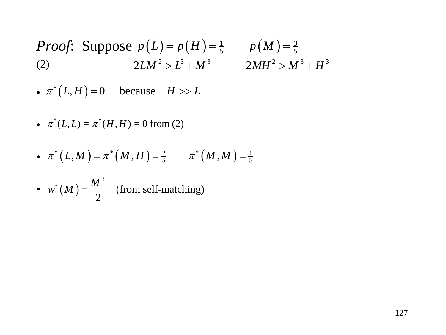*Proof*: Suppose 
$$
p(L) = p(H) = \frac{1}{5}
$$
  $p(M) = \frac{3}{5}$   
(2)  $2LM^2 > L^3 + M^3$   $2MH^2 > M^3 + H^3$ 

• 
$$
\pi^*(L, L) = \pi^*(H, H) = 0
$$
 from (2)

• 
$$
\pi^*(L, M) = \pi^*(M, H) = \frac{2}{5}
$$
  $\pi^*(M, M) = \frac{1}{5}$ 

• 
$$
w^*(M) = \frac{M^3}{2}
$$
 (from self-matching)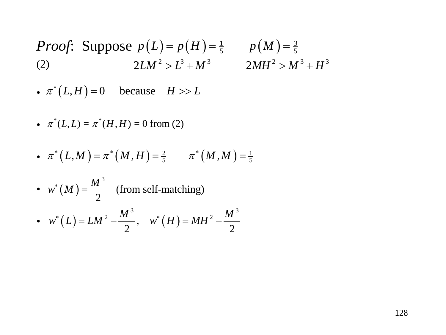*Proof*: Suppose 
$$
p(L) = p(H) = \frac{1}{5}
$$
  $p(M) = \frac{3}{5}$   
(2)  $2LM^2 > L^3 + M^3$   $2MH^2 > M^3 + H^3$ 

• 
$$
\pi^*(L, L) = \pi^*(H, H) = 0
$$
 from (2)

• 
$$
\pi^*(L, M) = \pi^*(M, H) = \frac{2}{5}
$$
  $\pi^*(M, M) = \frac{1}{5}$ 

• 
$$
w^*(M) = \frac{M^3}{2}
$$
 (from self-matching)  
\n•  $w^*(L) = LM^2 - \frac{M^3}{2}$ ,  $w^*(H) = MH^2 - \frac{M^3}{2}$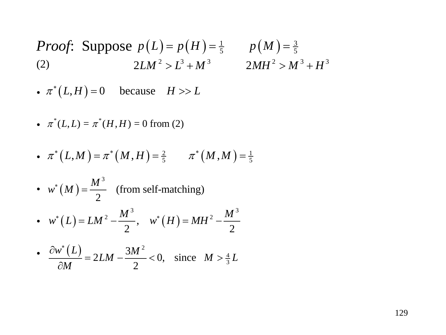*Proof*: Suppose 
$$
p(L) = p(H) = \frac{1}{5}
$$
  $p(M) = \frac{3}{5}$   
(2)  $2LM^2 > L^3 + M^3$   $2MH^2 > M^3 + H^3$ 

• 
$$
\pi^*(L, L) = \pi^*(H, H) = 0
$$
 from (2)

• 
$$
\pi^*(L, M) = \pi^*(M, H) = \frac{2}{5}
$$
  $\pi^*(M, M) = \frac{1}{5}$ 

• 
$$
w^*(M) = \frac{M^3}{2}
$$
 (from self-matching)  

$$
M^3
$$

• 
$$
w^*(L) = LM^2 - \frac{M^3}{2}
$$
,  $w^*(H) = MH^2 - \frac{M^3}{2}$ 

• 
$$
\frac{\partial w^*(L)}{\partial M} = 2LM - \frac{3M^2}{2} < 0, \text{ since } M > \frac{4}{3}L
$$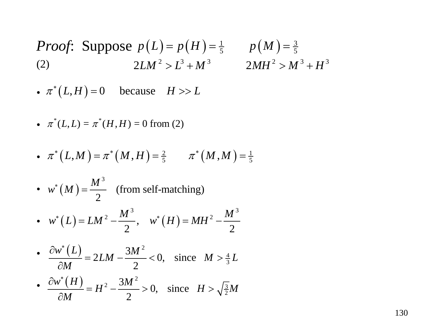*Proof*: Suppose 
$$
p(L) = p(H) = \frac{1}{5}
$$
  $p(M) = \frac{3}{5}$   
(2)  $2LM^2 > L^3 + M^3$   $2MH^2 > M^3 + H^3$ 

• 
$$
\pi^*(L, L) = \pi^*(H, H) = 0
$$
 from (2)

• 
$$
\pi^*(L, M) = \pi^*(M, H) = \frac{2}{5}
$$
  $\pi^*(M, M) = \frac{1}{5}$ 

• 
$$
w^*(M) = \frac{M^3}{2}
$$
 (from self-matching)  
\n•  $w^*(L) = LM^2 - \frac{M^3}{2}$ ,  $w^*(H) = MH^2 - \frac{M^3}{2}$ 

• 
$$
\frac{\partial w^*(L)}{\partial M} = 2LM - \frac{3M^2}{2} < 0, \text{ since } M > \frac{4}{3}L
$$

• 
$$
\frac{\partial w^*(H)}{\partial M} = H^2 - \frac{3M^2}{2} > 0, \text{ since } H > \sqrt{\frac{3}{2}}M
$$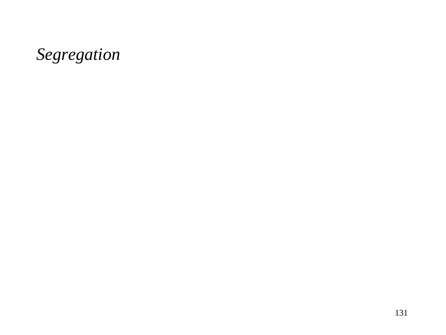## *Segregation*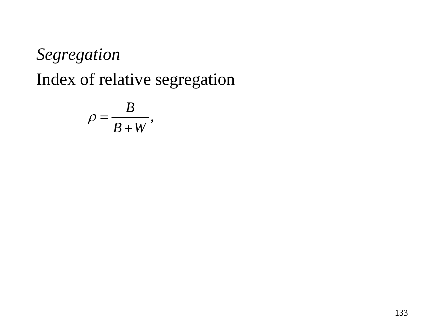$$
\rho = \frac{B}{B+W},
$$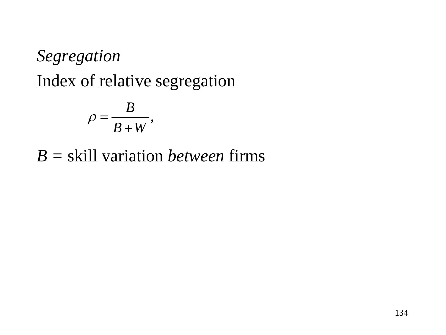$$
\rho = \frac{B}{B+W},
$$

*B =* skill variation *between* firms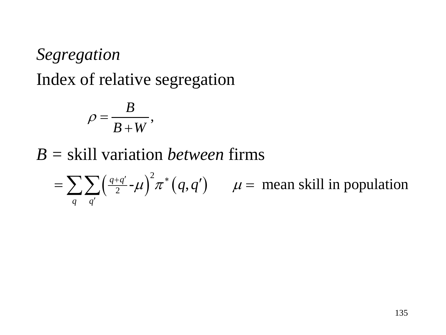$$
\rho=\frac{B}{B+W},
$$

*B =* skill variation *between* firms

 $\left(\frac{q+q'}{2}-\mu\right)^2 \pi^*(q,q')$   $\mu =$  mean skill in population *q q*  $\frac{+q'}{2}$ **-** $\mu$ )<sup>2</sup> $\pi^*(q,q')$   $\mu$ ′  $\sum \sum \left(\frac{q+q'}{2} -\mu \right)^2 \pi^* \big(q,q'\big) \qquad \mu =$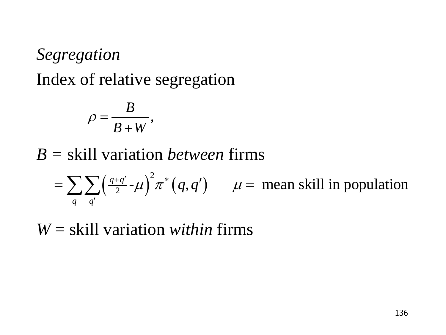$$
\rho=\frac{B}{B+W},
$$

# *B =* skill variation *between* firms

 $\left(\frac{q+q'}{2}-\mu\right)^2 \pi^*(q,q')$   $\mu =$  mean skill in population *q q*  $\frac{+q'}{2}$ **-** $\mu$ )<sup>2</sup> $\pi^*(q,q')$   $\mu$ ′  $\sum \sum \left(\frac{q+q'}{2} -\mu \right)^2 \pi^* \big(q,q'\big) \qquad \mu =$ 

*W* = skill variation *within* firms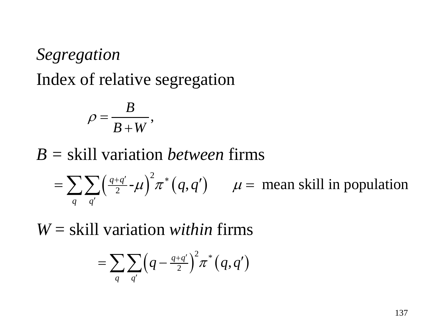$$
\rho=\frac{B}{B+W},
$$

*B =* skill variation *between* firms

 $\left(\frac{q+q'}{2}-\mu\right)^2 \pi^*(q,q')$   $\mu =$  mean skill in population *q q*  $\frac{+q'}{2}$ **-** $\mu$ )<sup>2</sup> $\pi^*(q,q')$   $\mu$ ′  $\sum \sum \left(\frac{q+q'}{2} -\mu \right)^2 \pi^* \big(q,q'\big) \qquad \mu =$ 

*W* = skill variation *within* firms

$$
=\sum_q\sum_{q'}\Bigl(q-{\textstyle\frac{q+q'}{2}}\Bigr)^2\pi^*\bigl(q,q'\bigr)
$$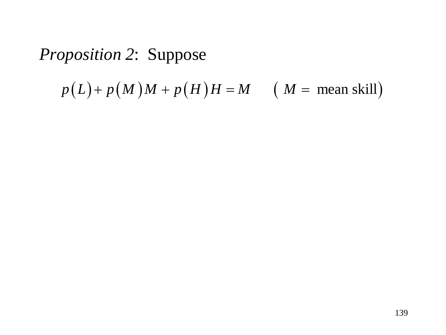$$
p(L) + p(M)M + p(H)H = M \qquad (M = \text{mean skill})
$$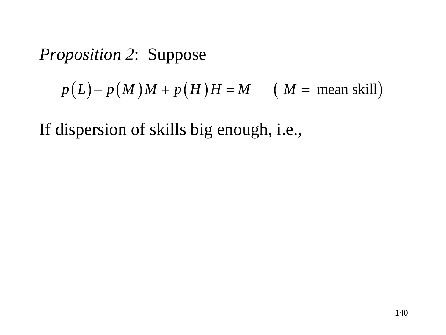$$
p(L) + p(M)M + p(H)H = M \qquad (M = \text{mean skill})
$$

If dispersion of skills big enough, i.e.,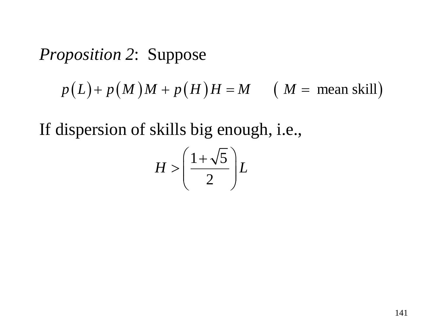$$
p(L) + p(M)M + p(H)H = M \qquad (M = \text{mean skill})
$$

If dispersion of skills big enough, i.e.,

$$
H > \left(\frac{1+\sqrt{5}}{2}\right)L
$$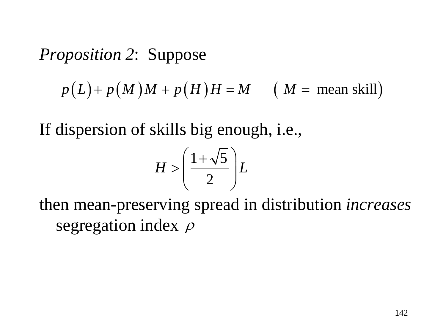$$
p(L) + p(M)M + p(H)H = M \qquad (M = \text{mean skill})
$$

If dispersion of skills big enough, i.e.,

$$
H > \left(\frac{1+\sqrt{5}}{2}\right)L
$$

then mean-preserving spread in distribution *increases*  segregation index *ρ*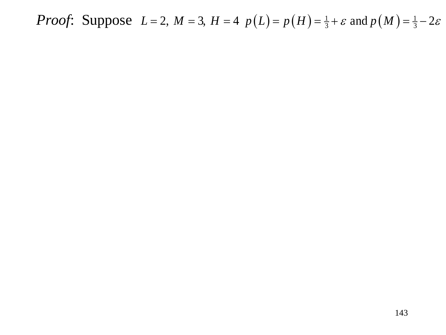*Proof*: Suppose  $L = 2$ ,  $M = 3$ ,  $H = 4$   $p(L) = p(H) = \frac{1}{3} + \varepsilon$  and  $p(M) = \frac{1}{3} - 2\varepsilon$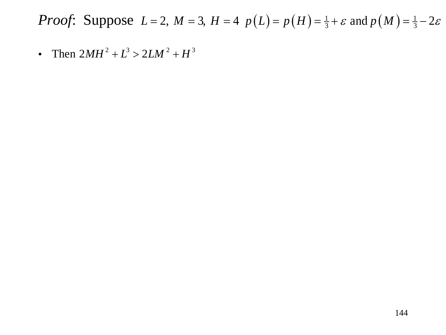*Proof*: Suppose  $L = 2$ ,  $M = 3$ ,  $H = 4$   $p(L) = p(H) = \frac{1}{3} + \varepsilon$  and  $p(M) = \frac{1}{3} - 2\varepsilon$ 

• Then  $2MH^2 + L^3 > 2LM^2 + H^3$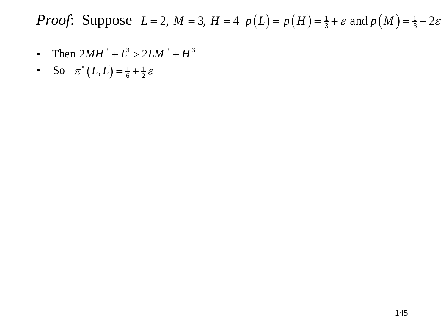- Then  $2MH^2 + L^3 > 2LM^2 + H^3$
- So  $\pi^*(L, L) = \frac{1}{6} + \frac{1}{2} \varepsilon$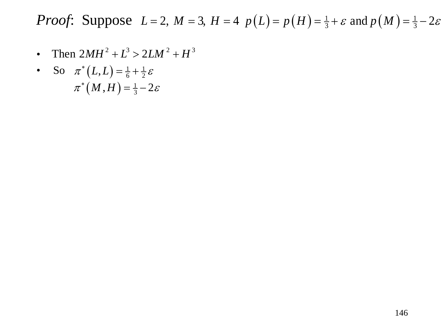- Then  $2MH^2 + L^3 > 2LM^2 + H^3$
- So  $\pi^*(L, L) = \frac{1}{6} + \frac{1}{2} \varepsilon$  $\pi^* (M, H) = \frac{1}{3} - 2\varepsilon$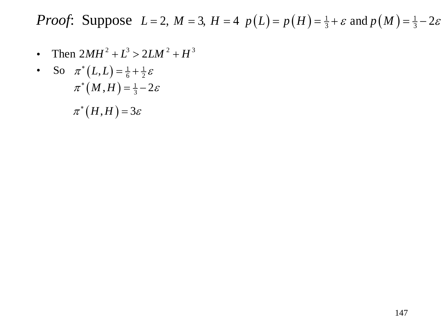- Then  $2MH^2 + L^3 > 2LM^2 + H^3$
- So  $\pi^*(L, L) = \frac{1}{6} + \frac{1}{2} \varepsilon$  $\pi^* (M, H) = \frac{1}{3} - 2\varepsilon$  $\pi^*(H, H) = 3\varepsilon$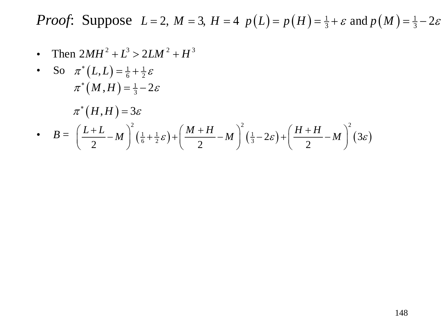• Then  $2MH^2 + L^3 > 2LM^2 + H^3$ 

• So 
$$
\pi^*(L,L) = \frac{1}{6} + \frac{1}{2}\varepsilon
$$
  
\n $\pi^*(M,H) = \frac{1}{3} - 2\varepsilon$   
\n $\pi^*(H,H) = 3\varepsilon$   
\n•  $B = \left(\frac{L+L}{2} - M\right)^2 \left(\frac{1}{6} + \frac{1}{2}\varepsilon\right) + \left(\frac{M+H}{2} - M\right)^2 \left(\frac{1}{3} - 2\varepsilon\right) + \left(\frac{H+H}{2} - M\right)^2 (3\varepsilon)$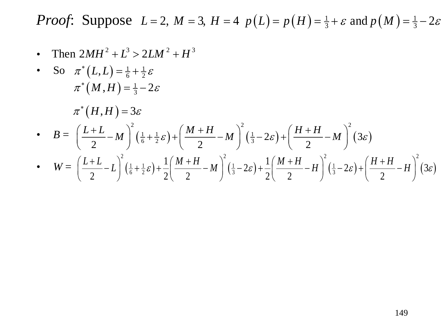• Then  $2MH^2 + L^3 > 2LM^2 + H^3$ 

• So 
$$
\pi^*(L,L) = \frac{1}{6} + \frac{1}{2}\varepsilon
$$
  
\n $\pi^*(M,H) = \frac{1}{3} - 2\varepsilon$   
\n $\pi^*(H,H) = 3\varepsilon$   
\n•  $B = \left(\frac{L+L}{2} - M\right)^2 \left(\frac{1}{6} + \frac{1}{2}\varepsilon\right) + \left(\frac{M+H}{2} - M\right)^2 \left(\frac{1}{3} - 2\varepsilon\right) + \left(\frac{H+H}{2} - M\right)^2 (3\varepsilon)$   
\n•  $W = \left(\frac{L+L}{2} - L\right)^2 \left(\frac{1}{6} + \frac{1}{2}\varepsilon\right) + \frac{1}{2} \left(\frac{M+H}{2} - M\right)^2 \left(\frac{1}{3} - 2\varepsilon\right) + \frac{1}{2} \left(\frac{M+H}{2} - H\right)^2 \left(\frac{1}{3} - 2\varepsilon\right) + \left(\frac{H+H}{2} - H\right)^2 (3\varepsilon)$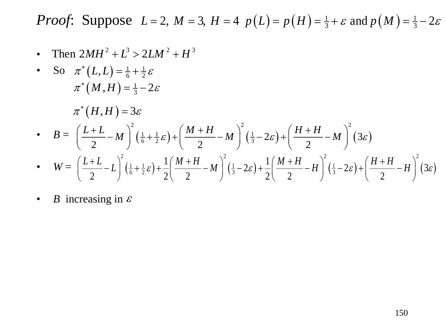• Then  $2MH^2 + L^3 > 2LM^2 + H^3$ 

• So 
$$
\pi^*(L,L) = \frac{1}{6} + \frac{1}{2} \varepsilon
$$
  
\n $\pi^*(M,H) = \frac{1}{3} - 2\varepsilon$   
\n $\pi^*(H,H) = 3\varepsilon$   
\n•  $B = \left(\frac{L+L}{2} - M\right)^2 \left(\frac{1}{6} + \frac{1}{2}\varepsilon\right) + \left(\frac{M+H}{2} - M\right)^2 \left(\frac{1}{3} - 2\varepsilon\right) + \left(\frac{H+H}{2} - M\right)^2 (3\varepsilon)$   
\n•  $W = \left(\frac{L+L}{2} - L\right)^2 \left(\frac{1}{6} + \frac{1}{2}\varepsilon\right) + \frac{1}{2} \left(\frac{M+H}{2} - M\right)^2 \left(\frac{1}{3} - 2\varepsilon\right) + \frac{1}{2} \left(\frac{M+H}{2} - H\right)^2 \left(\frac{1}{3} - 2\varepsilon\right) + \left(\frac{H+H}{2} - H\right)^2 (3\varepsilon)$ 

• *B* increasing in  $\varepsilon$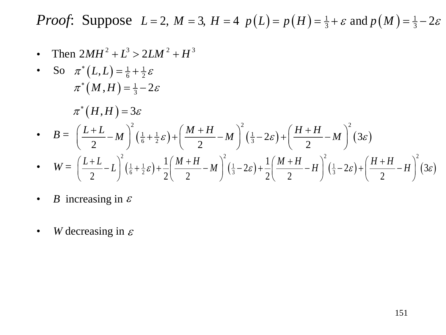• Then  $2MH^2 + L^3 > 2LM^2 + H^3$ 

• So 
$$
\pi^*(L, L) = \frac{1}{6} + \frac{1}{2} \varepsilon
$$
  
\n $\pi^*(M, H) = \frac{1}{3} - 2\varepsilon$   
\n $\pi^*(H, H) = 3\varepsilon$   
\n•  $B = \left(\frac{L+L}{2} - M\right)^2 \left(\frac{1}{6} + \frac{1}{2}\varepsilon\right) + \left(\frac{M+H}{2} - M\right)^2 \left(\frac{1}{3} - 2\varepsilon\right) + \left(\frac{H+H}{2} - M\right)^2 (3\varepsilon)$   
\n•  $W = \left(\frac{L+L}{2} - L\right)^2 \left(\frac{1}{6} + \frac{1}{2}\varepsilon\right) + \frac{1}{2} \left(\frac{M+H}{2} - M\right)^2 \left(\frac{1}{3} - 2\varepsilon\right) + \frac{1}{2} \left(\frac{M+H}{2} - H\right)^2 \left(\frac{1}{3} - 2\varepsilon\right) + \left(\frac{H+H}{2} - H\right)^2 (3\varepsilon)$ 

- *B* increasing in  $\varepsilon$
- *W* decreasing in  $\varepsilon$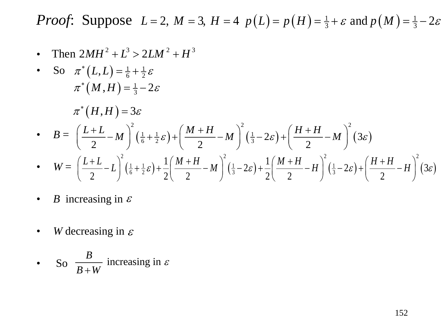• Then  $2MH^2 + L^3 > 2LM^2 + H^3$ 

• So 
$$
\pi^*(L,L) = \frac{1}{6} + \frac{1}{2} \varepsilon
$$
  
\n $\pi^*(M,H) = \frac{1}{3} - 2\varepsilon$   
\n $\pi^*(H,H) = 3\varepsilon$   
\n•  $B = \left(\frac{L+L}{2} - M\right)^2 \left(\frac{1}{6} + \frac{1}{2}\varepsilon\right) + \left(\frac{M+H}{2} - M\right)^2 \left(\frac{1}{3} - 2\varepsilon\right) + \left(\frac{H+H}{2} - M\right)^2 (3\varepsilon)$   
\n•  $W = \left(\frac{L+L}{2} - L\right)^2 \left(\frac{1}{6} + \frac{1}{2}\varepsilon\right) + \frac{1}{2} \left(\frac{M+H}{2} - M\right)^2 \left(\frac{1}{3} - 2\varepsilon\right) + \frac{1}{2} \left(\frac{M+H}{2} - H\right)^2 \left(\frac{1}{3} - 2\varepsilon\right) + \left(\frac{H+H}{2} - H\right)^2 (3\varepsilon)$ 

- *B* increasing in  $\varepsilon$
- *W* decreasing in  $\varepsilon$
- So  $\frac{B}{B+W}$  increasing in  $B+W$  $\frac{1}{2}$  increasing in  $\varepsilon$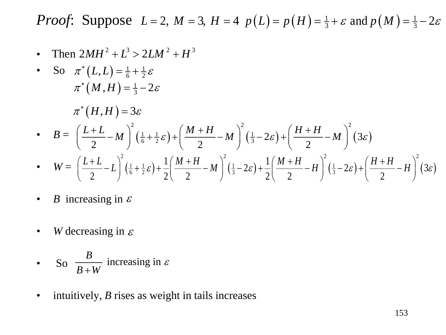• Then  $2MH^2 + L^3 > 2LM^2 + H^3$ 

• So 
$$
\pi^*(L,L) = \frac{1}{6} + \frac{1}{2}\varepsilon
$$
  
\n $\pi^*(M,H) = \frac{1}{3} - 2\varepsilon$   
\n $\pi^*(H,H) = 3\varepsilon$   
\n•  $B = \left(\frac{L+L}{2} - M\right)^2 \left(\frac{1}{6} + \frac{1}{2}\varepsilon\right) + \left(\frac{M+H}{2} - M\right)^2 \left(\frac{1}{3} - 2\varepsilon\right) + \left(\frac{H+H}{2} - M\right)^2 (3\varepsilon)$ 

• 
$$
W = \left(\frac{L+L}{2}-L\right)^2(\frac{1}{6}+\frac{1}{2}\varepsilon)+\frac{1}{2}\left(\frac{M+H}{2}-M\right)^2(\frac{1}{3}-2\varepsilon)+\frac{1}{2}\left(\frac{M+H}{2}-H\right)^2(\frac{1}{3}-2\varepsilon)+\left(\frac{H+H}{2}-H\right)^2(3\varepsilon)
$$

- *B* increasing in  $\varepsilon$
- *W* decreasing in  $\varepsilon$
- So  $\frac{B}{B+W}$  increasing in  $B+W$  $\frac{1}{2}$  increasing in  $\varepsilon$
- intuitively, *B* rises as weight in tails increases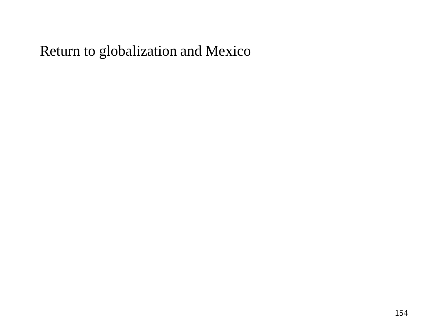#### Return to globalization and Mexico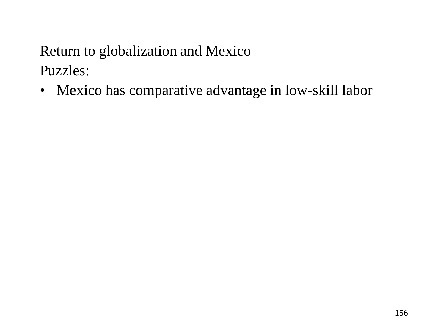• Mexico has comparative advantage in low-skill labor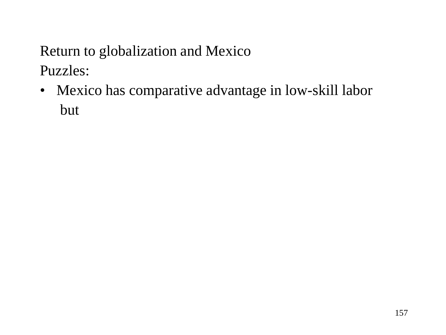• Mexico has comparative advantage in low-skill labor but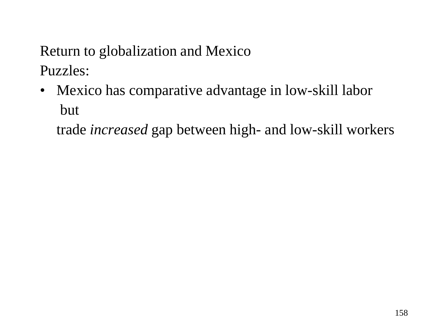• Mexico has comparative advantage in low-skill labor but

trade *increased* gap between high- and low-skill workers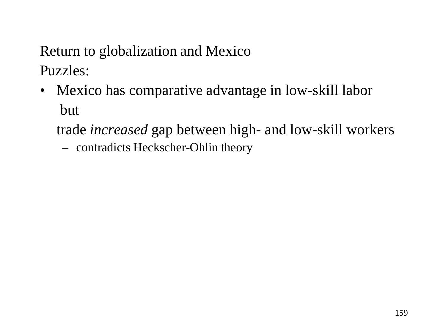- Mexico has comparative advantage in low-skill labor but
	- trade *increased* gap between high- and low-skill workers
		- contradicts Heckscher-Ohlin theory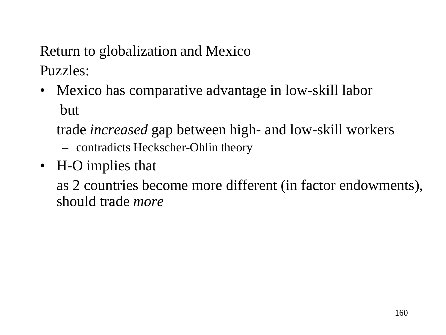• Mexico has comparative advantage in low-skill labor but

trade *increased* gap between high- and low-skill workers

- contradicts Heckscher-Ohlin theory
- H-O implies that

as 2 countries become more different (in factor endowments), should trade *more*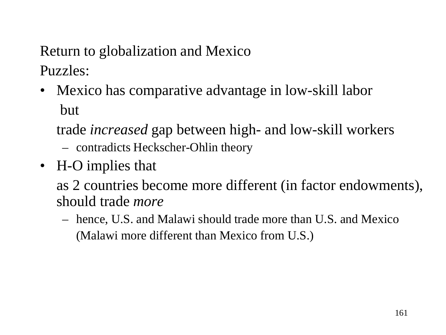• Mexico has comparative advantage in low-skill labor but

trade *increased* gap between high- and low-skill workers – contradicts Heckscher-Ohlin theory

• H-O implies that

as 2 countries become more different (in factor endowments), should trade *more*

– hence, U.S. and Malawi should trade more than U.S. and Mexico (Malawi more different than Mexico from U.S.)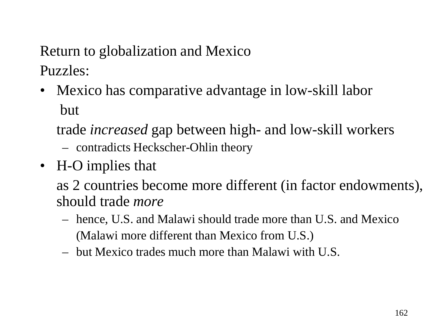• Mexico has comparative advantage in low-skill labor but

trade *increased* gap between high- and low-skill workers – contradicts Heckscher-Ohlin theory

• H-O implies that

as 2 countries become more different (in factor endowments), should trade *more*

- hence, U.S. and Malawi should trade more than U.S. and Mexico (Malawi more different than Mexico from U.S.)
- but Mexico trades much more than Malawi with U.S.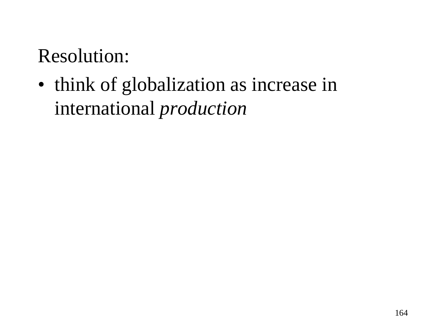• think of globalization as increase in international *production*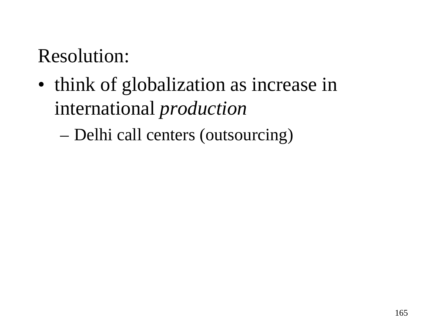• think of globalization as increase in international *production*

– Delhi call centers (outsourcing)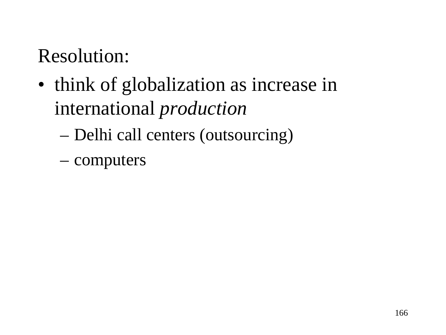- think of globalization as increase in international *production*
	- Delhi call centers (outsourcing)
	- computers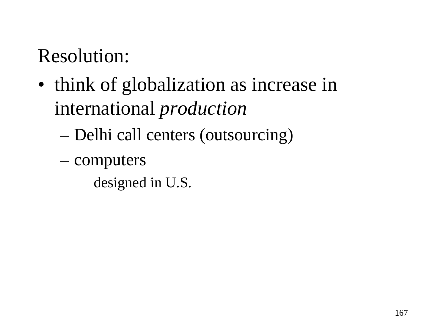- think of globalization as increase in international *production*
	- Delhi call centers (outsourcing)
	- computers
		- designed in U.S.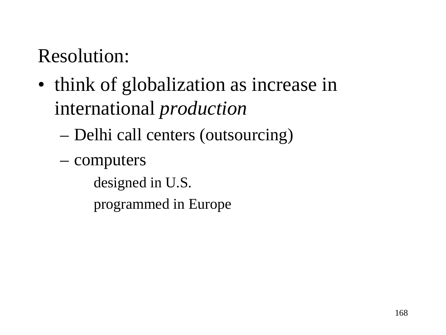- think of globalization as increase in international *production*
	- Delhi call centers (outsourcing)
	- computers

designed in U.S.

programmed in Europe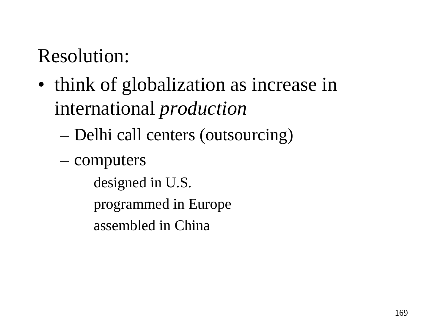- think of globalization as increase in international *production*
	- Delhi call centers (outsourcing)
	- computers

designed in U.S. programmed in Europe

assembled in China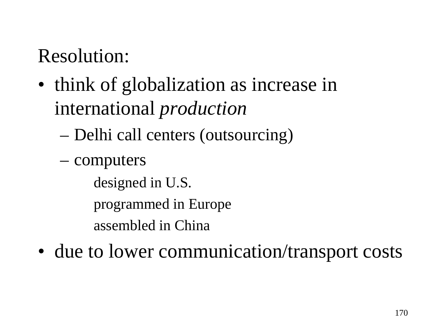- think of globalization as increase in international *production*
	- Delhi call centers (outsourcing)
	- computers

designed in U.S.

programmed in Europe

assembled in China

• due to lower communication/transport costs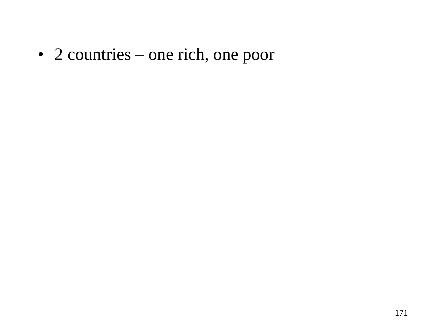• 2 countries – one rich, one poor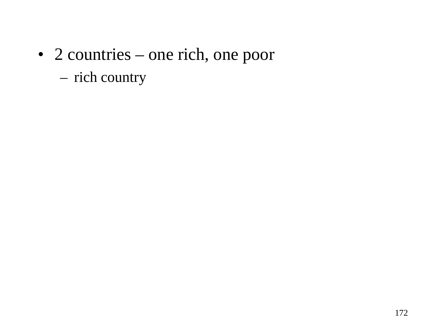### • 2 countries – one rich, one poor – rich country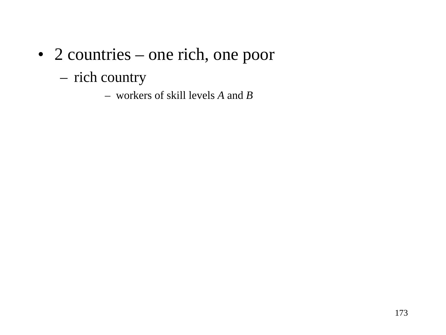- 2 countries one rich, one poor
	- rich country
		- workers of skill levels *A* and *B*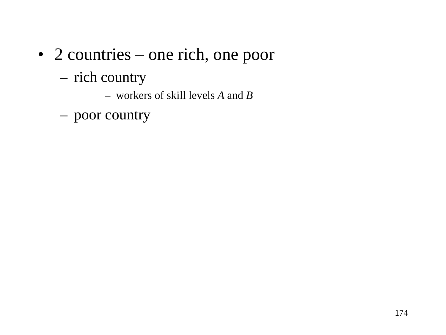- 2 countries one rich, one poor
	- rich country
		- workers of skill levels *A* and *B*
	- poor country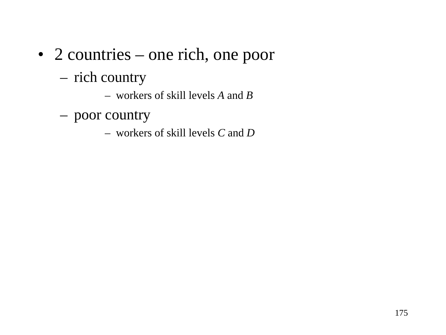- 2 countries one rich, one poor
	- rich country
		- workers of skill levels *A* and *B*
	- poor country
		- workers of skill levels *C* and *D*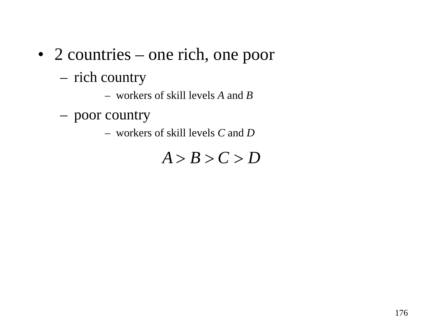- 2 countries one rich, one poor
	- rich country
		- workers of skill levels *A* and *B*
	- poor country
		- workers of skill levels *C* and *D*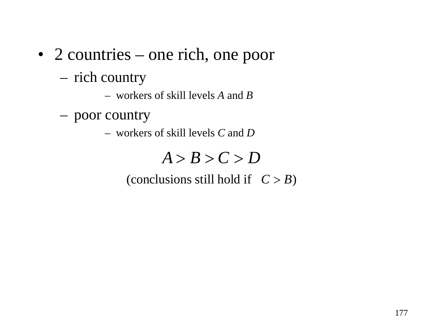- 2 countries one rich, one poor
	- rich country
		- workers of skill levels *A* and *B*
	- poor country
		- workers of skill levels *C* and *D*

#### (conclusions still hold if  $C > B$ )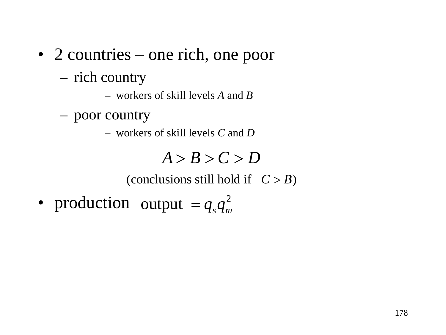- 2 countries one rich, one poor
	- rich country
		- workers of skill levels *A* and *B*
	- poor country
		- workers of skill levels *C* and *D*

(conclusions still hold if  $C > B$ )

• production output  $=q_s q_m^2$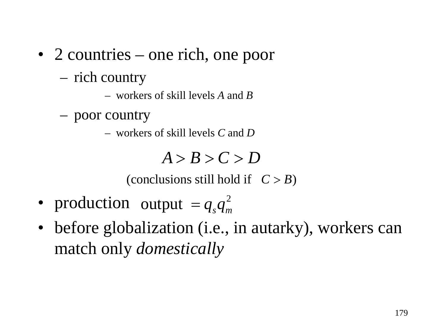- 2 countries one rich, one poor
	- rich country
		- workers of skill levels *A* and *B*
	- poor country
		- workers of skill levels *C* and *D*

(conclusions still hold if  $C > B$ )

- production output  $=q_s q_m^2$
- before globalization (*i.e.*, in autarky), workers can match only *domestically*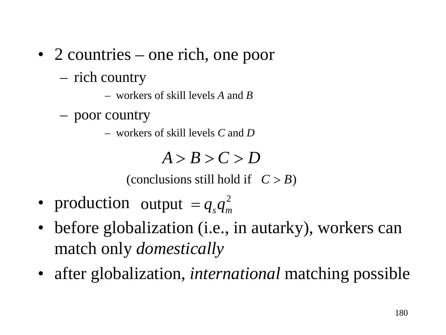- 2 countries one rich, one poor
	- rich country
		- workers of skill levels *A* and *B*
	- poor country
		- workers of skill levels *C* and *D*

(conclusions still hold if  $C > B$ )

- production output  $=q_s q_m^2$
- before globalization (*i.e.*, in autarky), workers can match only *domestically*
- after globalization, *international* matching possible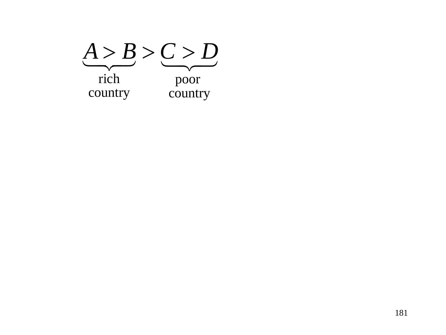$A > B > C > D$ country poor country rich  $A > B > C > D$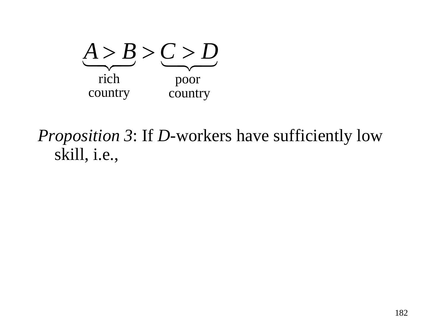

*Proposition 3*: If *D*-workers have sufficiently low skill, i.e.,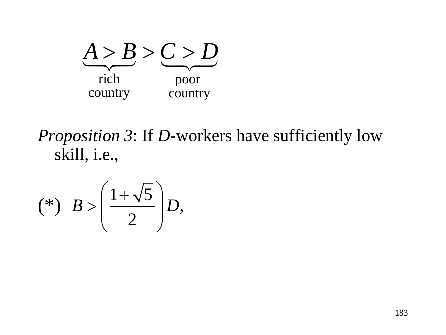

*Proposition 3*: If *D*-workers have sufficiently low skill, i.e.,

$$
(*)\quad B > \left(\frac{1+\sqrt{5}}{2}\right)D,
$$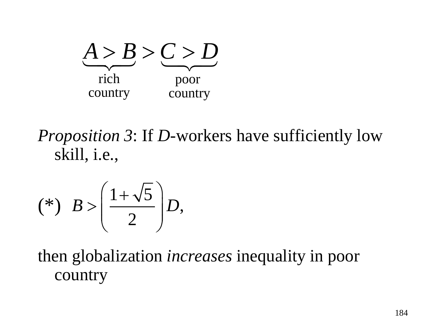

*Proposition 3*: If *D*-workers have sufficiently low skill, i.e.,

$$
(*)\quad B > \left(\frac{1+\sqrt{5}}{2}\right)D,
$$

then globalization *increases* inequality in poor country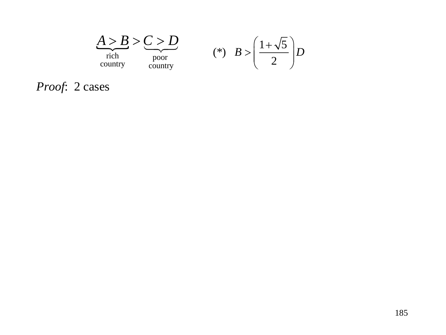

*Proof*: 2 cases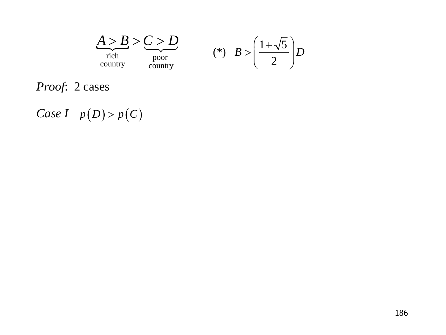

*Proof*: 2 cases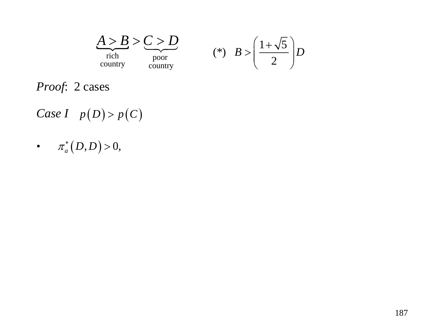

*Proof*: 2 cases

- *Case I*  $p(D) > p(C)$
- $\begin{aligned} \bullet \qquad \pi_{a}^*\big(D,D\big) \!>\! 0, \end{aligned}$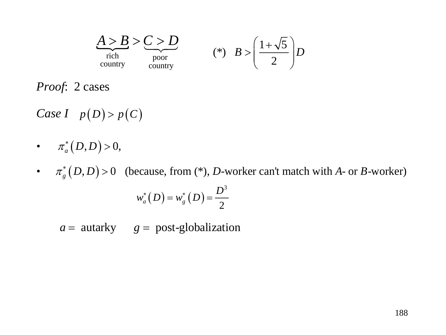

*Proof*: 2 cases

- *Case I*  $p(D) > p(C)$
- $\begin{aligned} \bullet \qquad \pi_{a}^*\big(D,D\big) \!>\! 0, \end{aligned}$
- $\pi_{g}^{*}(D,D) > 0$  (because, from (\*), *D*-worker can't match with *A* or *B*-worker)

$$
w_a^*(D) = w_g^*(D) = \frac{D^3}{2}
$$

 $a =$  autarky  $g =$  post-globalization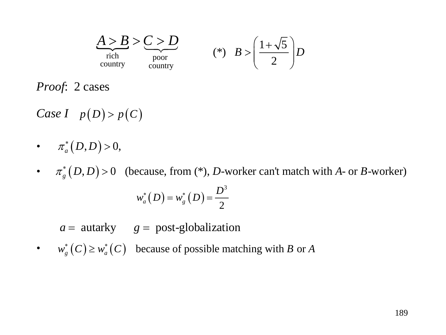

*Proof*: 2 cases

 $\begin{aligned} \bullet \qquad \pi_{a}^*\big(D,D\big) \!>\! 0, \end{aligned}$ 

•  $\pi_{g}^{*}(D,D) > 0$  (because, from (\*), *D*-worker can't match with *A*- or *B*-worker)  $(D) = w_e^* (D)$ 3  $a(P) = w_g(P) = 2$  $w^*_{a}(D) = w^*_{e}(D) = \frac{D}{2}$ 

 $a =$  autarky  $g =$  post-globalization

•  $w_g^*(C) \geq w_a^*(C)$  because of possible matching with *B* or *A*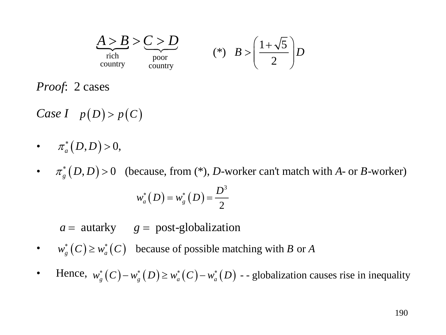

*Proof*: 2 cases

 $\begin{aligned} \bullet \qquad \pi_{a}^*\big(D,D\big) \!>\! 0, \end{aligned}$ 

•  $\pi_{g}^{*}(D,D) > 0$  (because, from (\*), *D*-worker can't match with *A*- or *B*-worker)  $(D) = w_e^* (D)$ 3  $a(P) = w_g(P) = 2$  $w^*_{a}(D) = w^*_{e}(D) = \frac{D}{2}$ 

 $a =$  autarky  $g =$  post-globalization

•  $w_g^*(C) \geq w_a^*(C)$  because of possible matching with *B* or *A* 

• Hence,  $w_g^*(C) - w_g^*(D) \geq w_a^*(C) - w_a^*(D)$  --globalization causes rise in inequality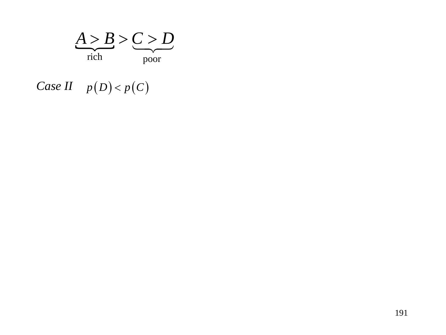

*Case II*  $p(D) < p(C)$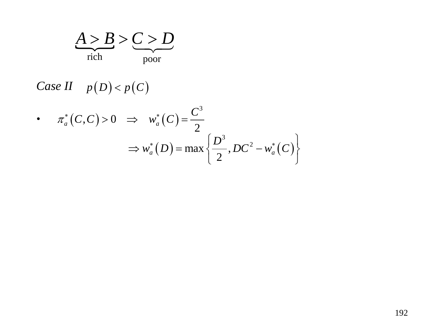

• 
$$
\pi_a^*(C, C) > 0 \implies w_a^*(C) = \frac{C^3}{2}
$$
  
\n $\implies w_a^*(D) = \max \left\{ \frac{D^3}{2}, DC^2 - w_a^*(C) \right\}$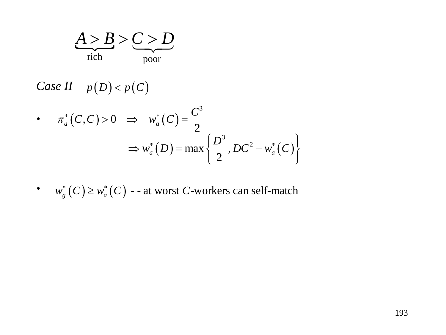

• 
$$
\pi_a^*(C, C) > 0 \implies w_a^*(C) = \frac{C^3}{2}
$$
  
\n $\implies w_a^*(D) = \max \left\{ \frac{D^3}{2}, DC^2 - w_a^*(C) \right\}$ 

• 
$$
w_g^*(C) \geq w_a^*(C)
$$
 -- at worst C-workers can self-match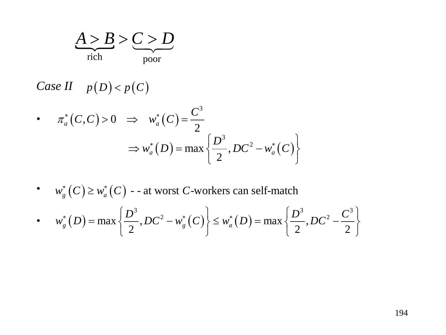

• 
$$
\pi_a^*(C, C) > 0 \implies w_a^*(C) = \frac{C^3}{2}
$$
  
\n $\implies w_a^*(D) = \max\left\{\frac{D^3}{2}, DC^2 - w_a^*(C)\right\}$ 

• 
$$
w_g^*(C) \geq w_a^*(C)
$$
 -- at worst C-workers can self-match

• 
$$
w_g^*(D) = \max \left\{ \frac{D^3}{2}, DC^2 - w_g^*(C) \right\} \leq w_a^*(D) = \max \left\{ \frac{D^3}{2}, DC^2 - \frac{C^3}{2} \right\}
$$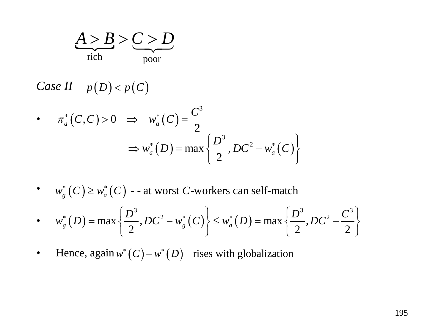

• 
$$
\pi_a^*(C, C) > 0 \implies w_a^*(C) = \frac{C^3}{2}
$$
  
\n $\implies w_a^*(D) = \max\left\{\frac{D^3}{2}, DC^2 - w_a^*(C)\right\}$ 

• 
$$
w_s^*(C) \geq w_a^*(C)
$$
 -- at worst C-workers can self-match

• 
$$
w_g^*(D) = \max \left\{ \frac{D^3}{2}, DC^2 - w_g^*(C) \right\} \leq w_a^*(D) = \max \left\{ \frac{D^3}{2}, DC^2 - \frac{C^3}{2} \right\}
$$

• Hence, again 
$$
w^*(C) - w^*(D)
$$
 rises with globalization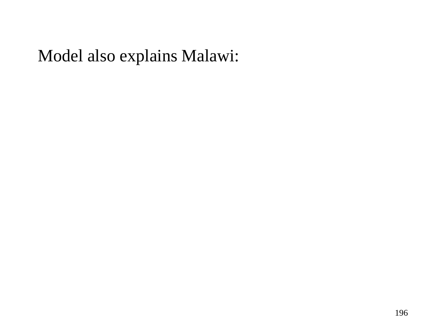### Model also explains Malawi: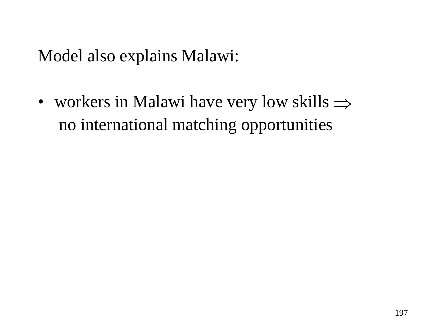Model also explains Malawi:

• workers in Malawi have very low skills ⇒no international matching opportunities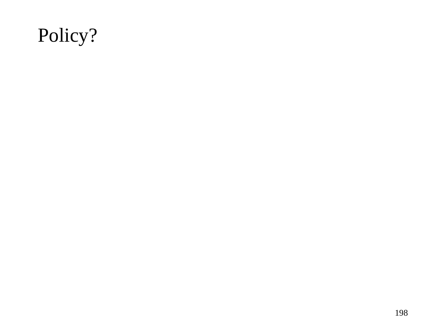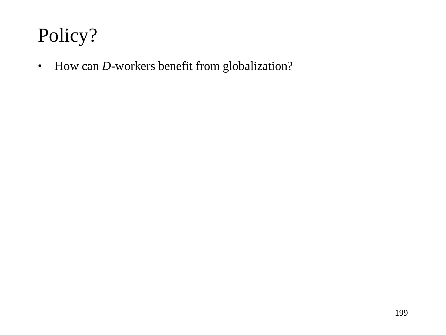• How can *D*-workers benefit from globalization?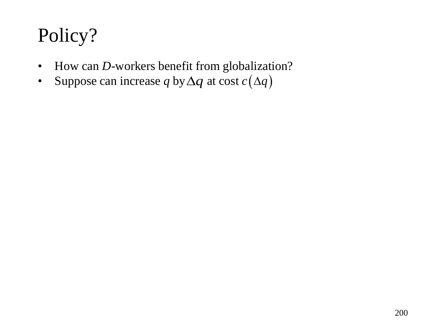- How can *D*-workers benefit from globalization?
- Suppose can increase *q* by  $\Delta q$  at cost  $c(\Delta q)$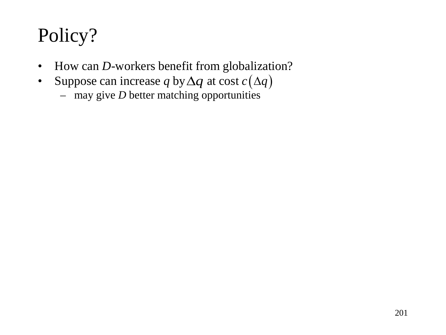- How can *D*-workers benefit from globalization?
- Suppose can increase q by  $\Delta q$  at cost  $c(\Delta q)$ 
	- may give  $D$  better matching opportunities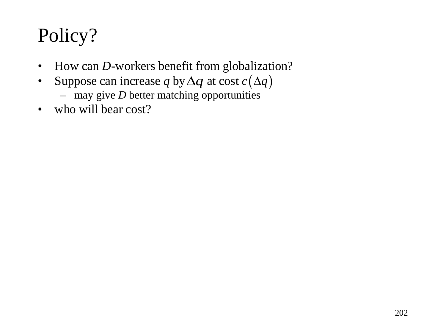- How can *D*-workers benefit from globalization?
- Suppose can increase q by  $\Delta q$  at cost  $c(\Delta q)$ 
	- may give *D* better matching opportunities
- who will bear cost?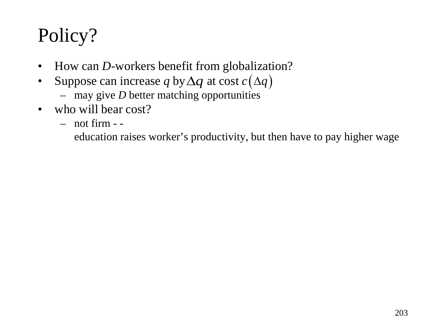- How can *D*-workers benefit from globalization?
- Suppose can increase q by  $\Delta q$  at cost  $c(\Delta q)$ 
	- may give *D* better matching opportunities
- who will bear cost?
	- not firm -

education raises worker's productivity, but then have to pay higher wage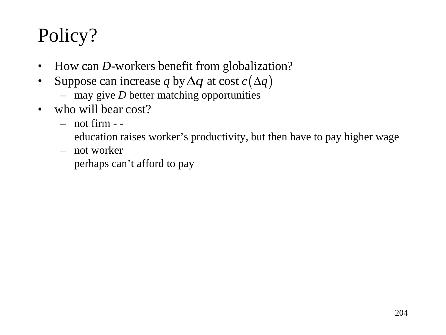- How can *D*-workers benefit from globalization?
- Suppose can increase q by  $\Delta q$  at cost  $c(\Delta q)$ 
	- may give *D* better matching opportunities
- who will bear cost?
	- not firm -

education raises worker's productivity, but then have to pay higher wage

– not worker

perhaps can't afford to pay